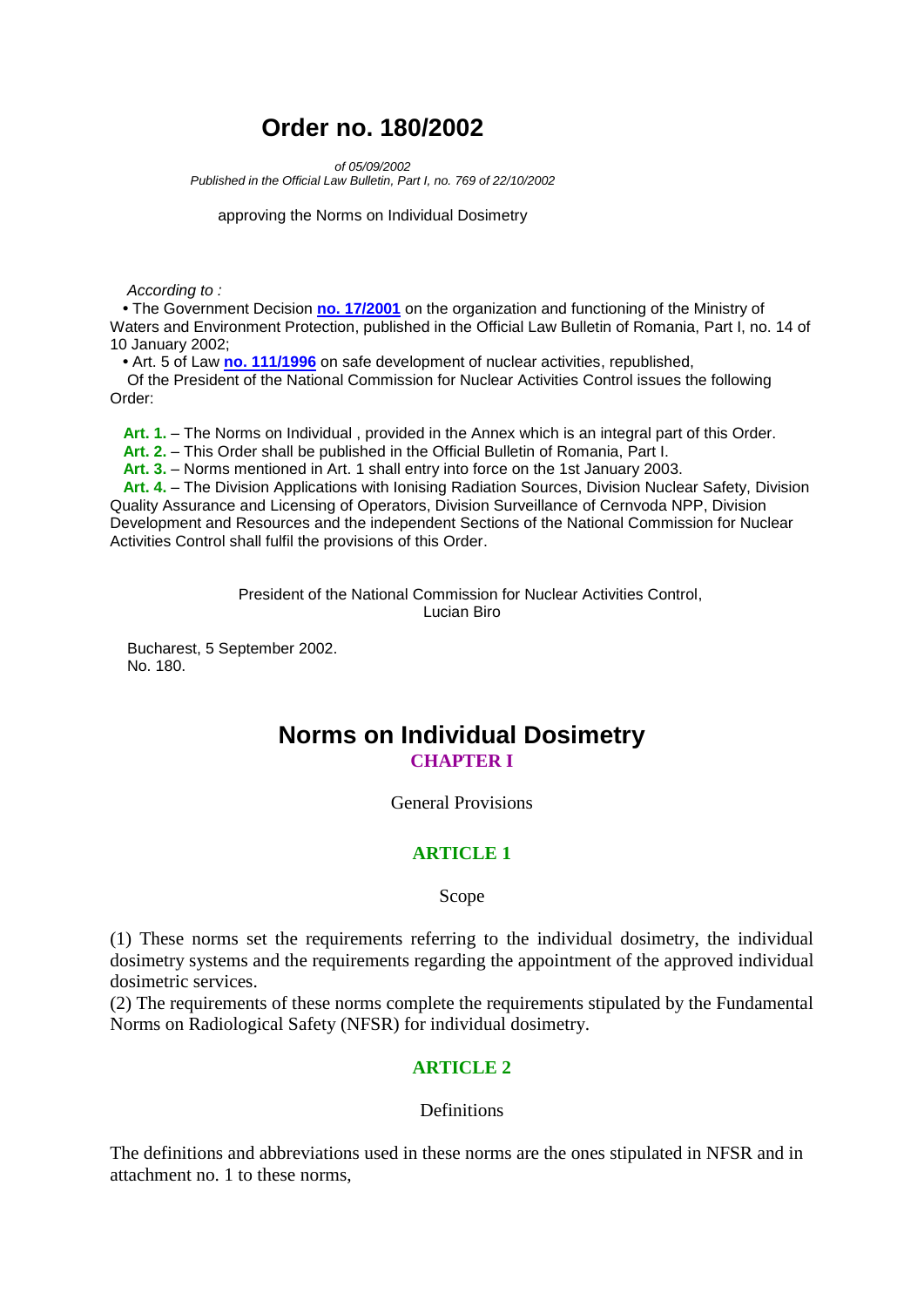# **Order no. 180/2002**

*of 05/09/2002*

*Published in the Official Law Bulletin, Part I, no. 769 of 22/10/2002*

approving the Norms on Individual Dosimetry

 *According to :* 

 **•** The Government Decision **[no. 17/2001](lnk:HOT%20GUV%2017%202001%200)** on the organization and functioning of the Ministry of Waters and Environment Protection, published in the Official Law Bulletin of Romania, Part I, no. 14 of 10 January 2002;

 **•** Art. 5 of Law **[no. 111/1996](lnk:LEG%20PRL%20111%201996%200)** on safe development of nuclear activities, republished,

 Of the President of the National Commission for Nuclear Activities Control issues the following Order:

 **Art. 1.** – The Norms on Individual , provided in the Annex which is an integral part of this Order.

 **Art. 2.** – This Order shall be published in the Official Bulletin of Romania, Part I.

 **Art. 3.** – Norms mentioned in Art. 1 shall entry into force on the 1st January 2003.

 **Art. 4.** – The Division Applications with Ionising Radiation Sources, Division Nuclear Safety, Division Quality Assurance and Licensing of Operators, Division Surveillance of Cernvoda NPP, Division Development and Resources and the independent Sections of the National Commission for Nuclear Activities Control shall fulfil the provisions of this Order.

> President of the National Commission for Nuclear Activities Control, Lucian Biro

 Bucharest, 5 September 2002. No. 180.

# **Norms on Individual Dosimetry CHAPTER I**

General Provisions

## **ARTICLE 1**

Scope

(1) These norms set the requirements referring to the individual dosimetry, the individual dosimetry systems and the requirements regarding the appointment of the approved individual dosimetric services.

(2) The requirements of these norms complete the requirements stipulated by the Fundamental Norms on Radiological Safety (NFSR) for individual dosimetry.

## **ARTICLE 2**

#### **Definitions**

The definitions and abbreviations used in these norms are the ones stipulated in NFSR and in attachment no. 1 to these norms,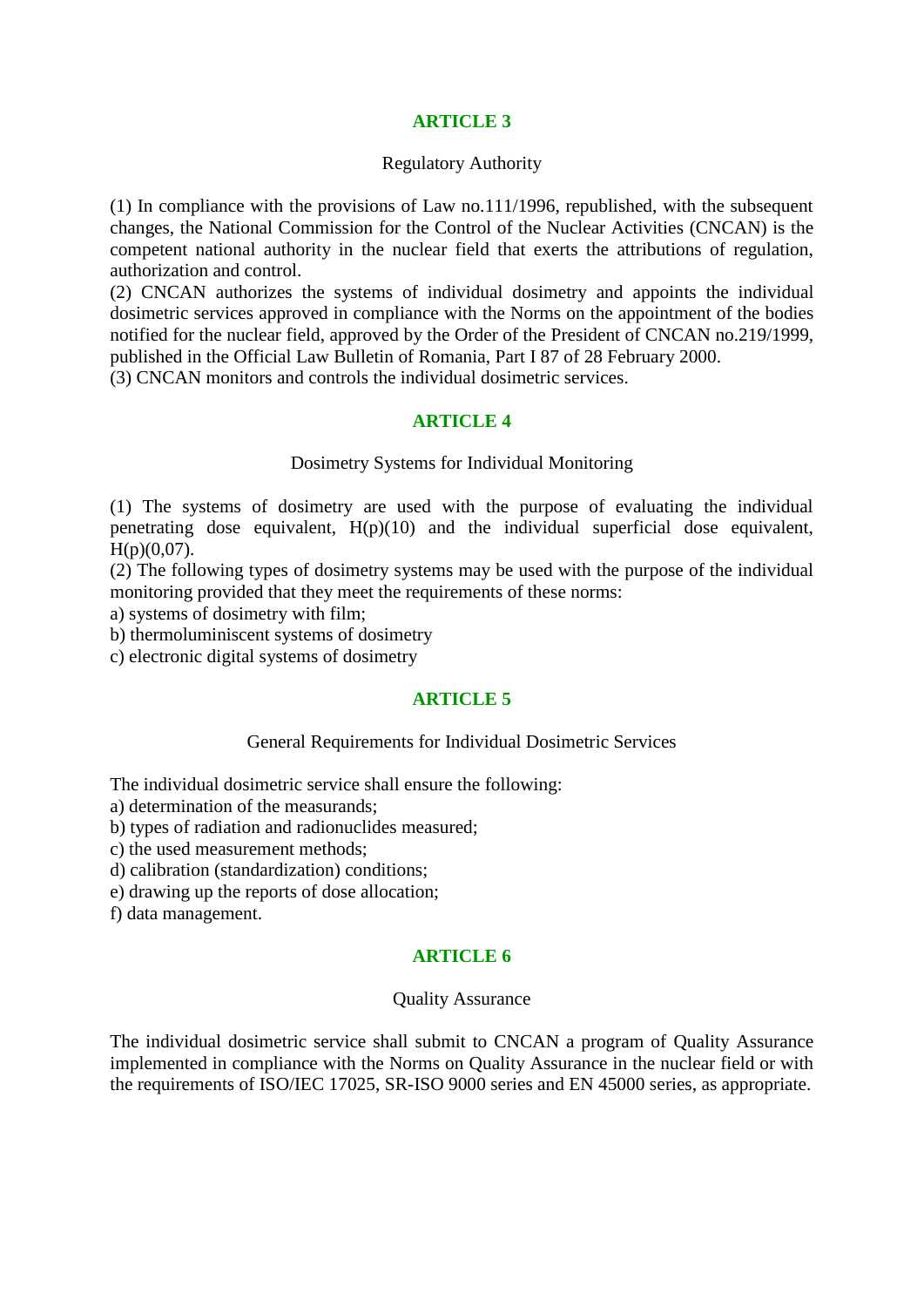## **ARTICLE 3**

#### Regulatory Authority

(1) In compliance with the provisions of Law no.111/1996, republished, with the subsequent changes, the National Commission for the Control of the Nuclear Activities (CNCAN) is the competent national authority in the nuclear field that exerts the attributions of regulation, authorization and control.

(2) CNCAN authorizes the systems of individual dosimetry and appoints the individual dosimetric services approved in compliance with the Norms on the appointment of the bodies notified for the nuclear field, approved by the Order of the President of CNCAN no.219/1999, published in the Official Law Bulletin of Romania, Part I 87 of 28 February 2000.

(3) CNCAN monitors and controls the individual dosimetric services.

### **ARTICLE 4**

#### Dosimetry Systems for Individual Monitoring

(1) The systems of dosimetry are used with the purpose of evaluating the individual penetrating dose equivalent,  $H(p)(10)$  and the individual superficial dose equivalent,  $H(p)(0,07)$ .

(2) The following types of dosimetry systems may be used with the purpose of the individual monitoring provided that they meet the requirements of these norms:

a) systems of dosimetry with film;

b) thermoluminiscent systems of dosimetry

c) electronic digital systems of dosimetry

### **ARTICLE 5**

## General Requirements for Individual Dosimetric Services

The individual dosimetric service shall ensure the following:

a) determination of the measurands;

b) types of radiation and radionuclides measured;

c) the used measurement methods;

d) calibration (standardization) conditions;

e) drawing up the reports of dose allocation;

f) data management.

## **ARTICLE 6**

### Quality Assurance

The individual dosimetric service shall submit to CNCAN a program of Quality Assurance implemented in compliance with the Norms on Quality Assurance in the nuclear field or with the requirements of ISO/IEC 17025, SR-ISO 9000 series and EN 45000 series, as appropriate.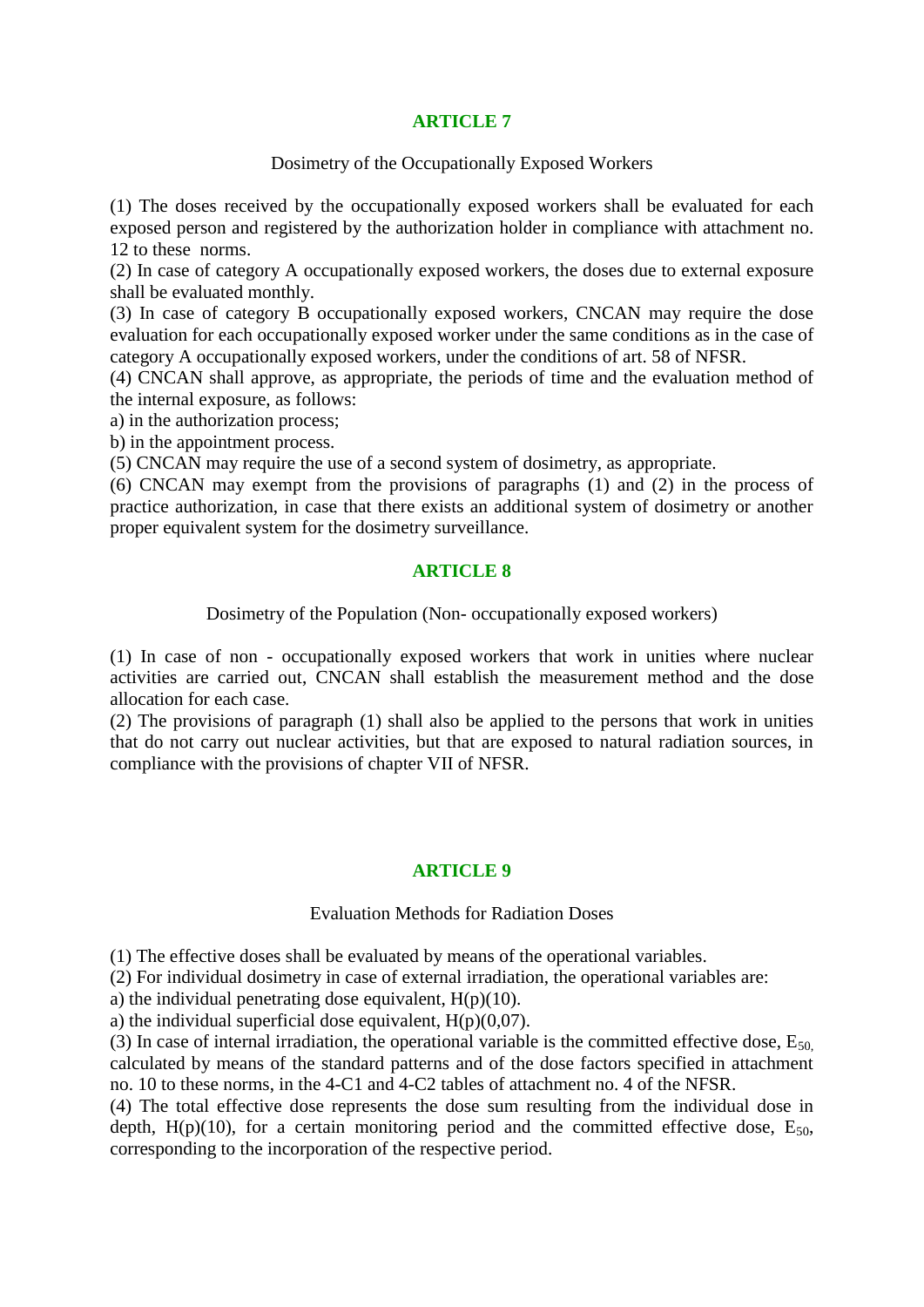## **ARTICLE 7**

Dosimetry of the Occupationally Exposed Workers

(1) The doses received by the occupationally exposed workers shall be evaluated for each exposed person and registered by the authorization holder in compliance with attachment no. 12 to these norms.

(2) In case of category A occupationally exposed workers, the doses due to external exposure shall be evaluated monthly.

(3) In case of category B occupationally exposed workers, CNCAN may require the dose evaluation for each occupationally exposed worker under the same conditions as in the case of category A occupationally exposed workers, under the conditions of art. 58 of NFSR.

(4) CNCAN shall approve, as appropriate, the periods of time and the evaluation method of the internal exposure, as follows:

a) in the authorization process;

b) in the appointment process.

(5) CNCAN may require the use of a second system of dosimetry, as appropriate.

(6) CNCAN may exempt from the provisions of paragraphs (1) and (2) in the process of practice authorization, in case that there exists an additional system of dosimetry or another proper equivalent system for the dosimetry surveillance.

### **ARTICLE 8**

Dosimetry of the Population (Non- occupationally exposed workers)

(1) In case of non - occupationally exposed workers that work in unities where nuclear activities are carried out, CNCAN shall establish the measurement method and the dose allocation for each case.

(2) The provisions of paragraph (1) shall also be applied to the persons that work in unities that do not carry out nuclear activities, but that are exposed to natural radiation sources, in compliance with the provisions of chapter VII of NFSR.

### **ARTICLE 9**

#### Evaluation Methods for Radiation Doses

(1) The effective doses shall be evaluated by means of the operational variables.

(2) For individual dosimetry in case of external irradiation, the operational variables are:

a) the individual penetrating dose equivalent,  $H(p)(10)$ .

a) the individual superficial dose equivalent,  $H(p)(0,07)$ .

(3) In case of internal irradiation, the operational variable is the committed effective dose,  $E_{50}$ , calculated by means of the standard patterns and of the dose factors specified in attachment no. 10 to these norms, in the 4-C1 and 4-C2 tables of attachment no. 4 of the NFSR.

(4) The total effective dose represents the dose sum resulting from the individual dose in depth,  $H(p)(10)$ , for a certain monitoring period and the committed effective dose,  $E_{50}$ , corresponding to the incorporation of the respective period.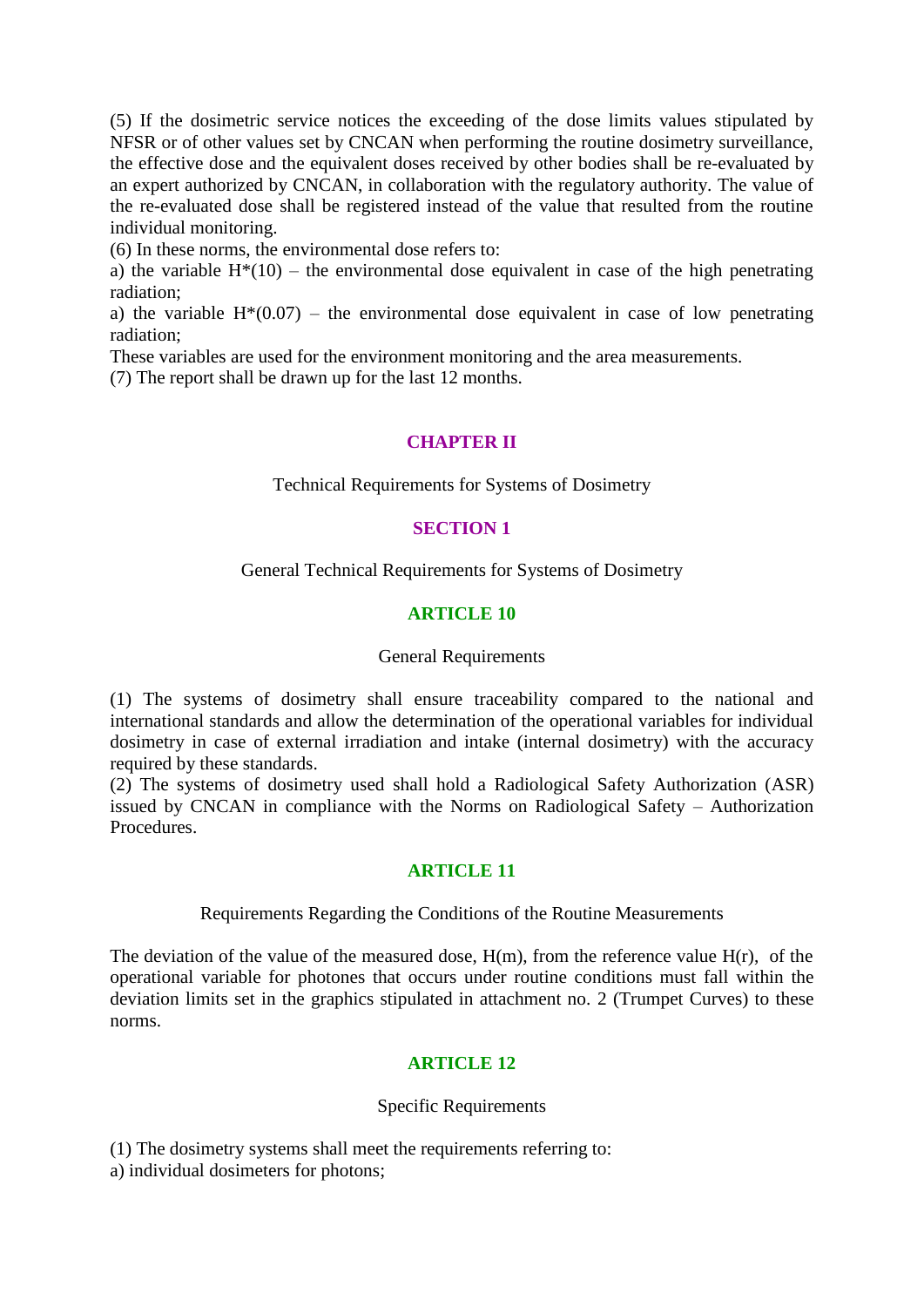(5) If the dosimetric service notices the exceeding of the dose limits values stipulated by NFSR or of other values set by CNCAN when performing the routine dosimetry surveillance, the effective dose and the equivalent doses received by other bodies shall be re-evaluated by an expert authorized by CNCAN, in collaboration with the regulatory authority. The value of the re-evaluated dose shall be registered instead of the value that resulted from the routine individual monitoring.

(6) In these norms, the environmental dose refers to:

a) the variable  $H^*(10)$  – the environmental dose equivalent in case of the high penetrating radiation;

a) the variable  $H^*(0.07)$  – the environmental dose equivalent in case of low penetrating radiation;

These variables are used for the environment monitoring and the area measurements.

(7) The report shall be drawn up for the last 12 months.

### **CHAPTER II**

Technical Requirements for Systems of Dosimetry

### **SECTION 1**

General Technical Requirements for Systems of Dosimetry

### **ARTICLE 10**

#### General Requirements

(1) The systems of dosimetry shall ensure traceability compared to the national and international standards and allow the determination of the operational variables for individual dosimetry in case of external irradiation and intake (internal dosimetry) with the accuracy required by these standards.

(2) The systems of dosimetry used shall hold a Radiological Safety Authorization (ASR) issued by CNCAN in compliance with the Norms on Radiological Safety – Authorization Procedures.

### **ARTICLE 11**

#### Requirements Regarding the Conditions of the Routine Measurements

The deviation of the value of the measured dose,  $H(m)$ , from the reference value  $H(r)$ , of the operational variable for photones that occurs under routine conditions must fall within the deviation limits set in the graphics stipulated in attachment no. 2 (Trumpet Curves) to these norms.

### **ARTICLE 12**

### Specific Requirements

(1) The dosimetry systems shall meet the requirements referring to:

a) individual dosimeters for photons;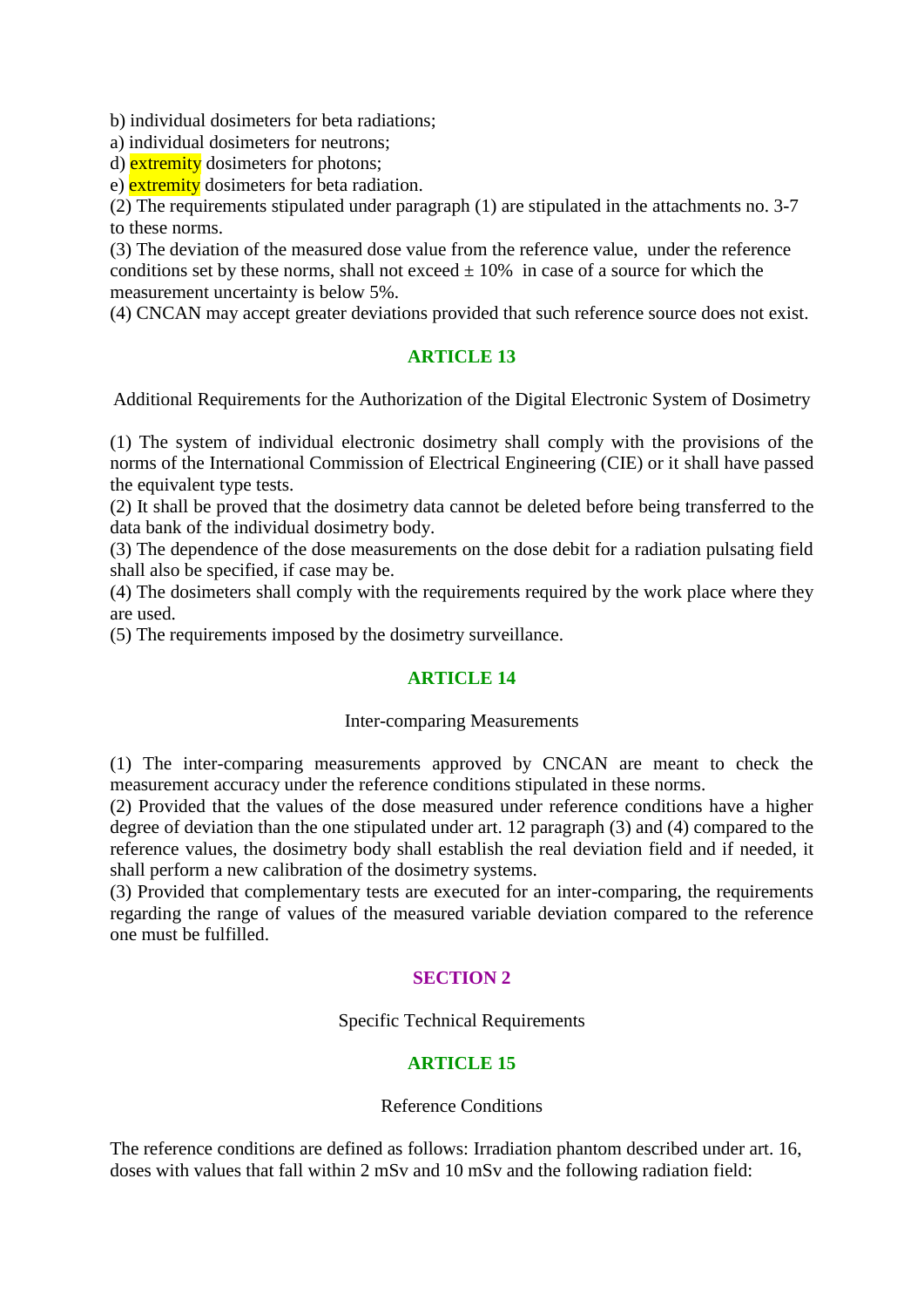b) individual dosimeters for beta radiations;

a) individual dosimeters for neutrons;

d) extremity dosimeters for photons;

e) extremity dosimeters for beta radiation.

(2) The requirements stipulated under paragraph (1) are stipulated in the attachments no. 3-7 to these norms.

(3) The deviation of the measured dose value from the reference value, under the reference conditions set by these norms, shall not exceed  $\pm$  10% in case of a source for which the measurement uncertainty is below 5%.

(4) CNCAN may accept greater deviations provided that such reference source does not exist.

### **ARTICLE 13**

Additional Requirements for the Authorization of the Digital Electronic System of Dosimetry

(1) The system of individual electronic dosimetry shall comply with the provisions of the norms of the International Commission of Electrical Engineering (CIE) or it shall have passed the equivalent type tests.

(2) It shall be proved that the dosimetry data cannot be deleted before being transferred to the data bank of the individual dosimetry body.

(3) The dependence of the dose measurements on the dose debit for a radiation pulsating field shall also be specified, if case may be.

(4) The dosimeters shall comply with the requirements required by the work place where they are used.

(5) The requirements imposed by the dosimetry surveillance.

### **ARTICLE 14**

### Inter-comparing Measurements

(1) The inter-comparing measurements approved by CNCAN are meant to check the measurement accuracy under the reference conditions stipulated in these norms.

(2) Provided that the values of the dose measured under reference conditions have a higher degree of deviation than the one stipulated under art. 12 paragraph (3) and (4) compared to the reference values, the dosimetry body shall establish the real deviation field and if needed, it shall perform a new calibration of the dosimetry systems.

(3) Provided that complementary tests are executed for an inter-comparing, the requirements regarding the range of values of the measured variable deviation compared to the reference one must be fulfilled.

## **SECTION 2**

Specific Technical Requirements

## **ARTICLE 15**

Reference Conditions

The reference conditions are defined as follows: Irradiation phantom described under art. 16, doses with values that fall within 2 mSv and 10 mSv and the following radiation field: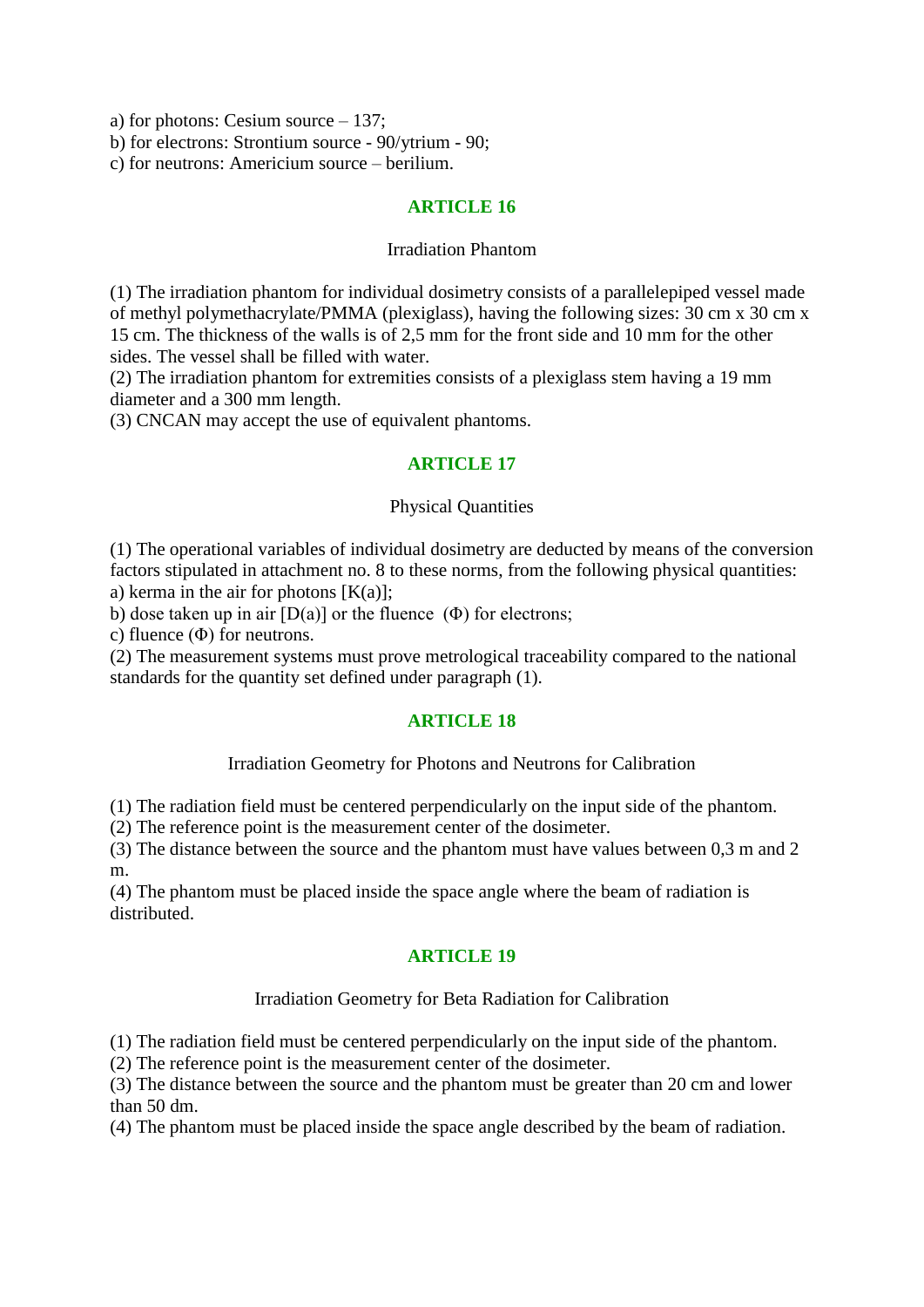a) for photons: Cesium source – 137;

b) for electrons: Strontium source - 90/ytrium - 90;

c) for neutrons: Americium source – berilium.

### **ARTICLE 16**

#### Irradiation Phantom

(1) The irradiation phantom for individual dosimetry consists of a parallelepiped vessel made of methyl polymethacrylate/PMMA (plexiglass), having the following sizes: 30 cm x 30 cm x 15 cm. The thickness of the walls is of 2,5 mm for the front side and 10 mm for the other sides. The vessel shall be filled with water.

(2) The irradiation phantom for extremities consists of a plexiglass stem having a 19 mm diameter and a 300 mm length.

(3) CNCAN may accept the use of equivalent phantoms.

### **ARTICLE 17**

#### Physical Quantities

(1) The operational variables of individual dosimetry are deducted by means of the conversion factors stipulated in attachment no. 8 to these norms, from the following physical quantities: a) kerma in the air for photons  $[K(a)]$ ;

b) dose taken up in air  $[D(a)]$  or the fluence  $(\Phi)$  for electrons;

c) fluence  $(\Phi)$  for neutrons.

(2) The measurement systems must prove metrological traceability compared to the national standards for the quantity set defined under paragraph (1).

### **ARTICLE 18**

### Irradiation Geometry for Photons and Neutrons for Calibration

(1) The radiation field must be centered perpendicularly on the input side of the phantom.

(2) The reference point is the measurement center of the dosimeter.

(3) The distance between the source and the phantom must have values between 0,3 m and 2 m.

(4) The phantom must be placed inside the space angle where the beam of radiation is distributed.

## **ARTICLE 19**

### Irradiation Geometry for Beta Radiation for Calibration

(1) The radiation field must be centered perpendicularly on the input side of the phantom.

(2) The reference point is the measurement center of the dosimeter.

(3) The distance between the source and the phantom must be greater than 20 cm and lower than 50 dm.

(4) The phantom must be placed inside the space angle described by the beam of radiation.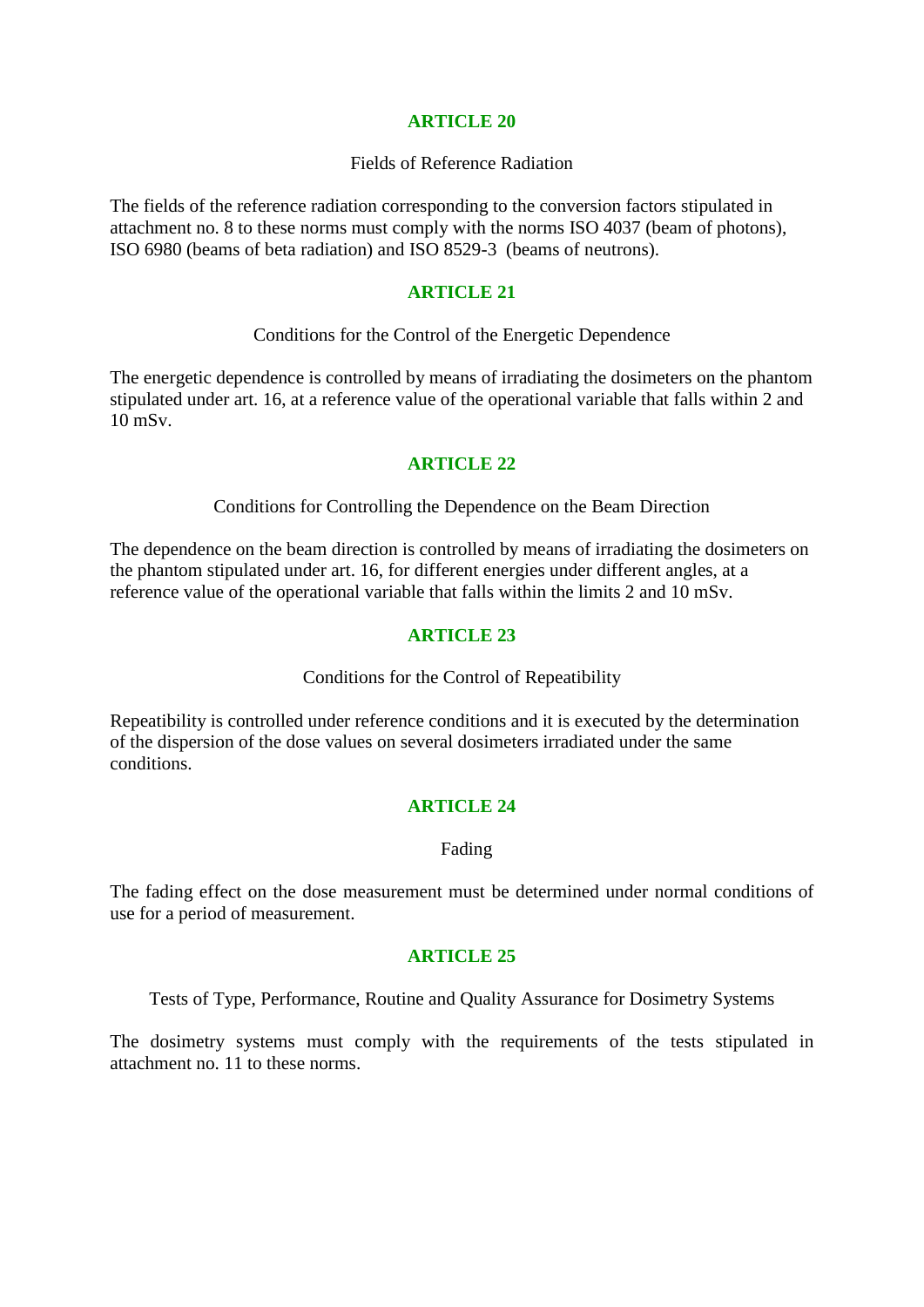### **ARTICLE 20**

#### Fields of Reference Radiation

The fields of the reference radiation corresponding to the conversion factors stipulated in attachment no. 8 to these norms must comply with the norms ISO 4037 (beam of photons), ISO 6980 (beams of beta radiation) and ISO 8529-3 (beams of neutrons).

#### **ARTICLE 21**

Conditions for the Control of the Energetic Dependence

The energetic dependence is controlled by means of irradiating the dosimeters on the phantom stipulated under art. 16, at a reference value of the operational variable that falls within 2 and 10 mSv.

### **ARTICLE 22**

#### Conditions for Controlling the Dependence on the Beam Direction

The dependence on the beam direction is controlled by means of irradiating the dosimeters on the phantom stipulated under art. 16, for different energies under different angles, at a reference value of the operational variable that falls within the limits 2 and 10 mSv.

### **ARTICLE 23**

Conditions for the Control of Repeatibility

Repeatibility is controlled under reference conditions and it is executed by the determination of the dispersion of the dose values on several dosimeters irradiated under the same conditions.

### **ARTICLE 24**

### Fading

The fading effect on the dose measurement must be determined under normal conditions of use for a period of measurement.

### **ARTICLE 25**

Tests of Type, Performance, Routine and Quality Assurance for Dosimetry Systems

The dosimetry systems must comply with the requirements of the tests stipulated in attachment no. 11 to these norms.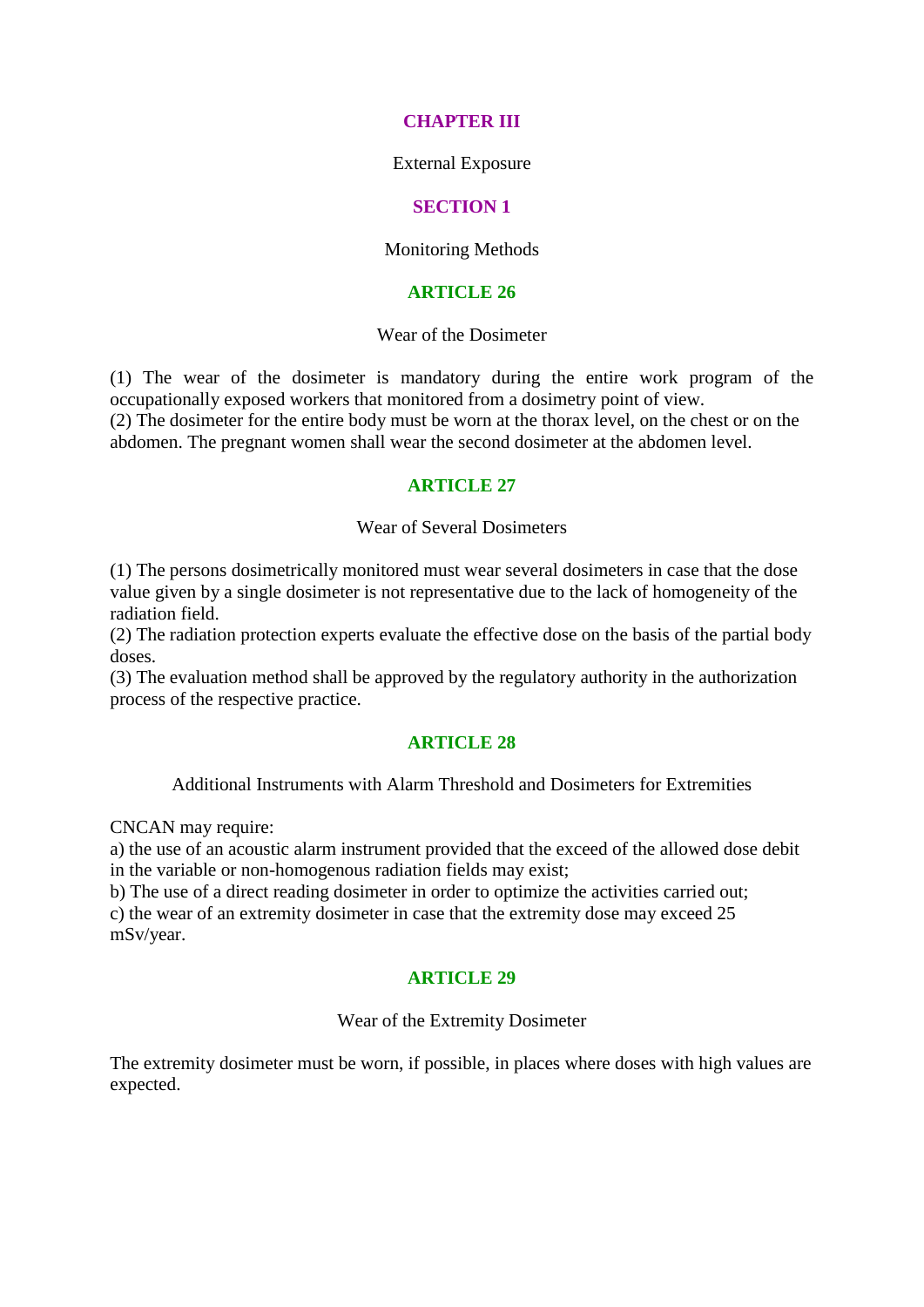### **CHAPTER III**

External Exposure

### **SECTION 1**

#### Monitoring Methods

#### **ARTICLE 26**

Wear of the Dosimeter

(1) The wear of the dosimeter is mandatory during the entire work program of the occupationally exposed workers that monitored from a dosimetry point of view.

(2) The dosimeter for the entire body must be worn at the thorax level, on the chest or on the abdomen. The pregnant women shall wear the second dosimeter at the abdomen level.

#### **ARTICLE 27**

#### Wear of Several Dosimeters

(1) The persons dosimetrically monitored must wear several dosimeters in case that the dose value given by a single dosimeter is not representative due to the lack of homogeneity of the radiation field.

(2) The radiation protection experts evaluate the effective dose on the basis of the partial body doses.

(3) The evaluation method shall be approved by the regulatory authority in the authorization process of the respective practice.

### **ARTICLE 28**

Additional Instruments with Alarm Threshold and Dosimeters for Extremities

CNCAN may require:

a) the use of an acoustic alarm instrument provided that the exceed of the allowed dose debit in the variable or non-homogenous radiation fields may exist;

b) The use of a direct reading dosimeter in order to optimize the activities carried out;

c) the wear of an extremity dosimeter in case that the extremity dose may exceed 25 mSv/year.

### **ARTICLE 29**

#### Wear of the Extremity Dosimeter

The extremity dosimeter must be worn, if possible, in places where doses with high values are expected.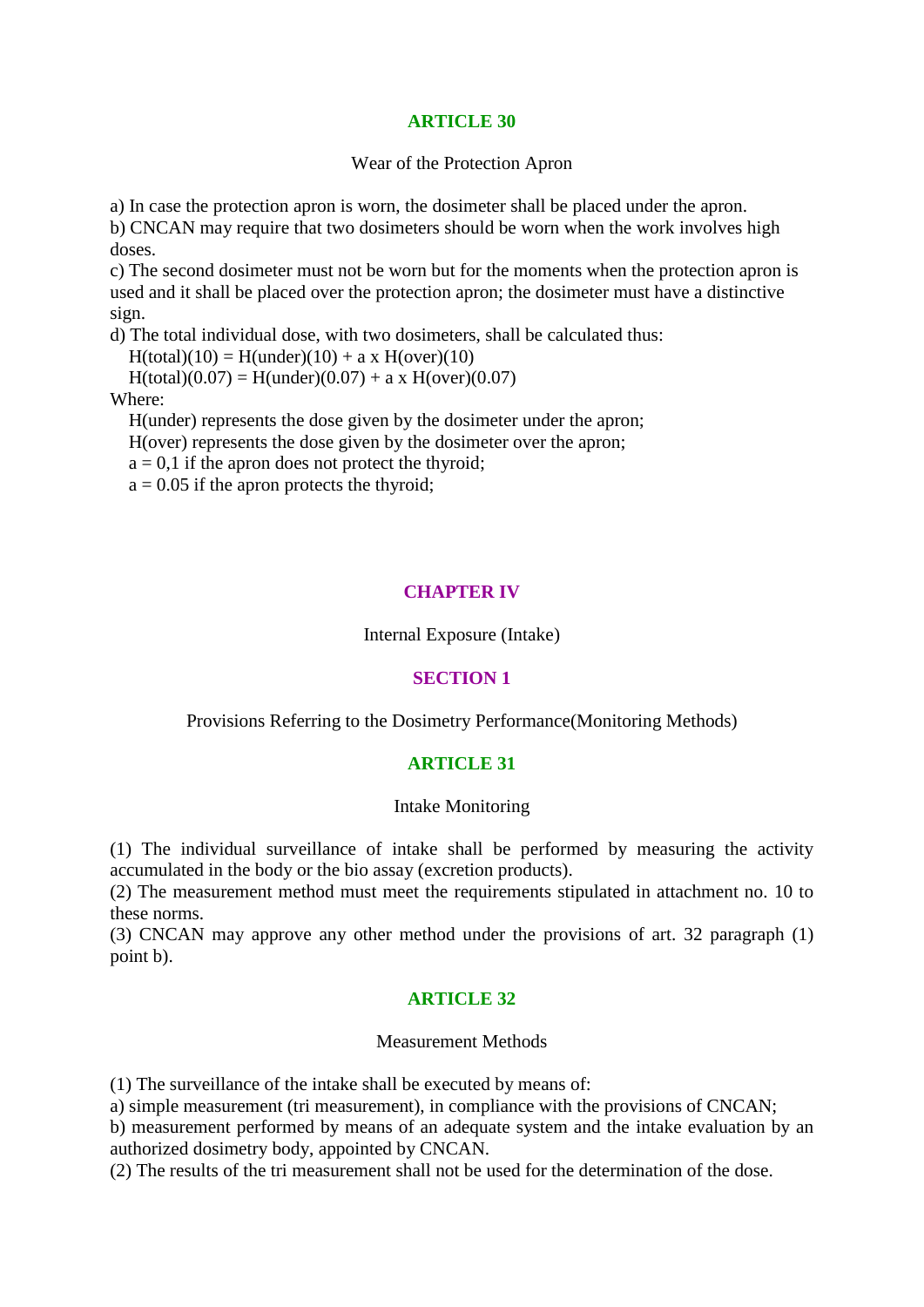#### **ARTICLE 30**

Wear of the Protection Apron

a) In case the protection apron is worn, the dosimeter shall be placed under the apron.

b) CNCAN may require that two dosimeters should be worn when the work involves high doses.

c) The second dosimeter must not be worn but for the moments when the protection apron is used and it shall be placed over the protection apron; the dosimeter must have a distinctive sign.

d) The total individual dose, with two dosimeters, shall be calculated thus:

 $H(total)(10) = H(under)(10) + a x H(over)(10)$ 

 $H(total)(0.07) = H(under)(0.07) + a x H(over)(0.07)$ 

Where:

H(under) represents the dose given by the dosimeter under the apron;

H(over) represents the dose given by the dosimeter over the apron;

 $a = 0,1$  if the apron does not protect the thyroid;

 $a = 0.05$  if the apron protects the thyroid;

## **CHAPTER IV**

Internal Exposure (Intake)

### **SECTION 1**

Provisions Referring to the Dosimetry Performance(Monitoring Methods)

## **ARTICLE 31**

#### Intake Monitoring

(1) The individual surveillance of intake shall be performed by measuring the activity accumulated in the body or the bio assay (excretion products).

(2) The measurement method must meet the requirements stipulated in attachment no. 10 to these norms.

(3) CNCAN may approve any other method under the provisions of art. 32 paragraph (1) point b).

## **ARTICLE 32**

### Measurement Methods

(1) The surveillance of the intake shall be executed by means of:

a) simple measurement (tri measurement), in compliance with the provisions of CNCAN;

b) measurement performed by means of an adequate system and the intake evaluation by an authorized dosimetry body, appointed by CNCAN.

(2) The results of the tri measurement shall not be used for the determination of the dose.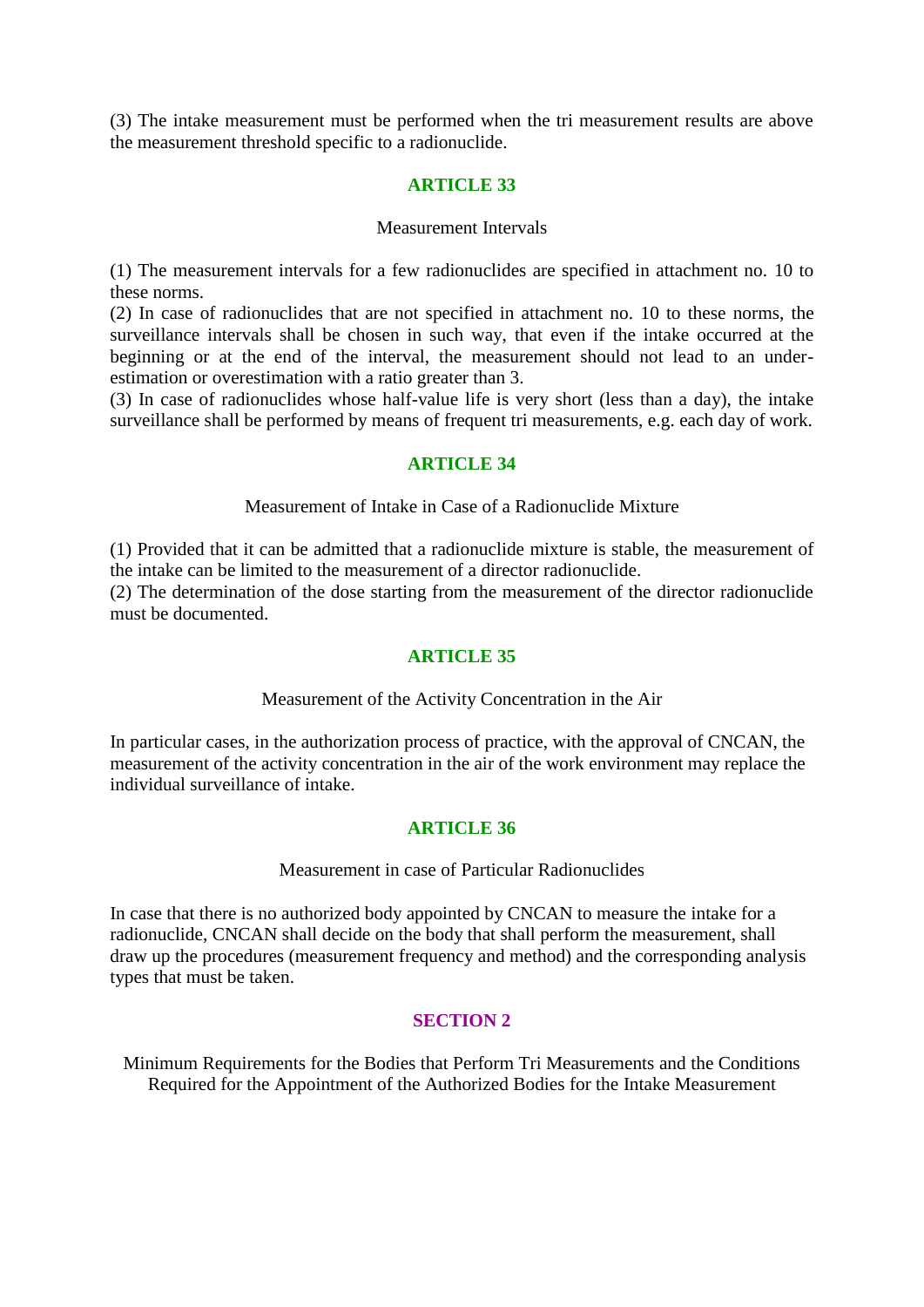(3) The intake measurement must be performed when the tri measurement results are above the measurement threshold specific to a radionuclide.

### **ARTICLE 33**

#### Measurement Intervals

(1) The measurement intervals for a few radionuclides are specified in attachment no. 10 to these norms.

(2) In case of radionuclides that are not specified in attachment no. 10 to these norms, the surveillance intervals shall be chosen in such way, that even if the intake occurred at the beginning or at the end of the interval, the measurement should not lead to an underestimation or overestimation with a ratio greater than 3.

(3) In case of radionuclides whose half-value life is very short (less than a day), the intake surveillance shall be performed by means of frequent tri measurements, e.g. each day of work.

#### **ARTICLE 34**

Measurement of Intake in Case of a Radionuclide Mixture

(1) Provided that it can be admitted that a radionuclide mixture is stable, the measurement of the intake can be limited to the measurement of a director radionuclide.

(2) The determination of the dose starting from the measurement of the director radionuclide must be documented.

### **ARTICLE 35**

### Measurement of the Activity Concentration in the Air

In particular cases, in the authorization process of practice, with the approval of CNCAN, the measurement of the activity concentration in the air of the work environment may replace the individual surveillance of intake.

### **ARTICLE 36**

#### Measurement in case of Particular Radionuclides

In case that there is no authorized body appointed by CNCAN to measure the intake for a radionuclide, CNCAN shall decide on the body that shall perform the measurement, shall draw up the procedures (measurement frequency and method) and the corresponding analysis types that must be taken.

### **SECTION 2**

Minimum Requirements for the Bodies that Perform Tri Measurements and the Conditions Required for the Appointment of the Authorized Bodies for the Intake Measurement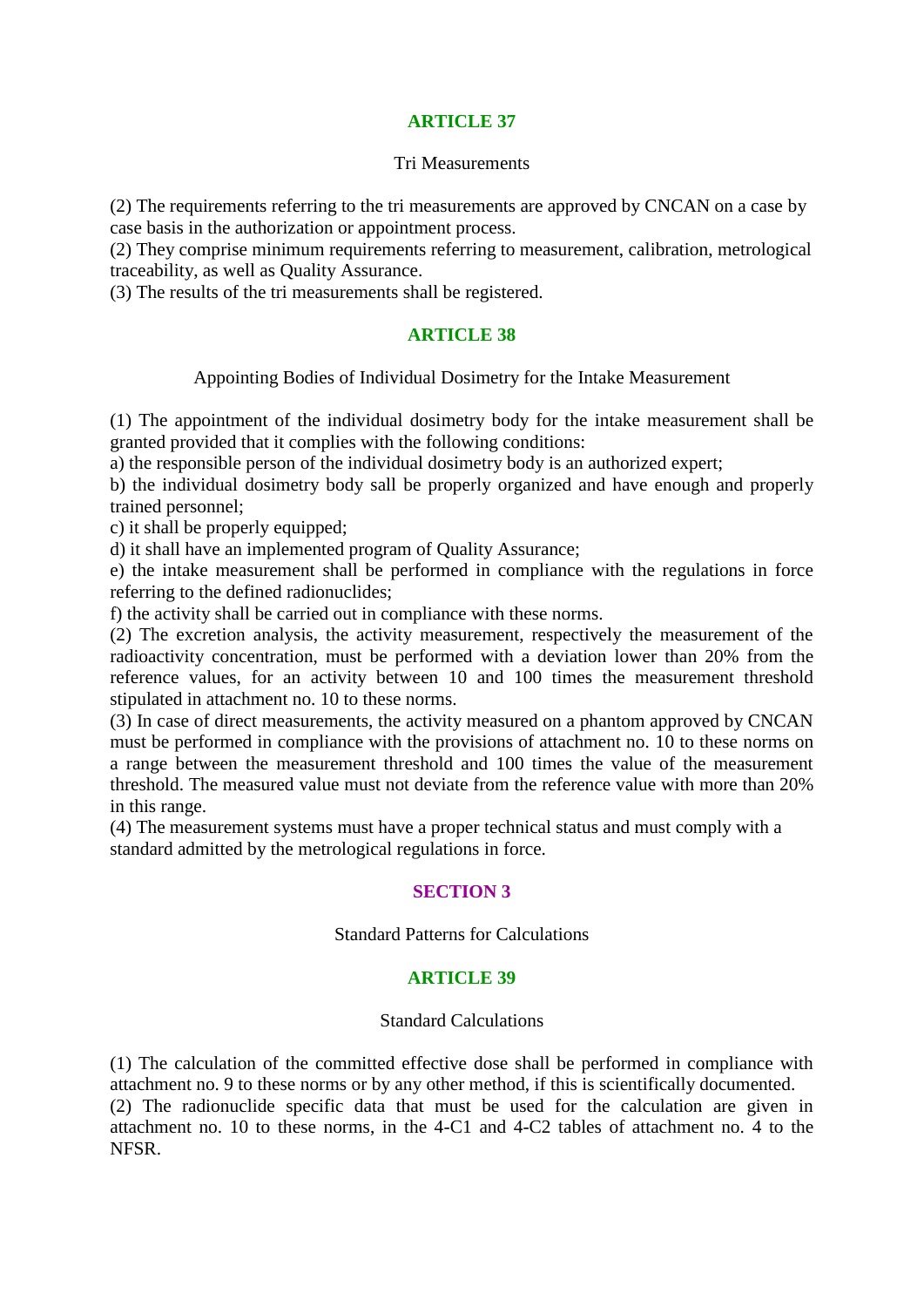## **ARTICLE 37**

### Tri Measurements

(2) The requirements referring to the tri measurements are approved by CNCAN on a case by case basis in the authorization or appointment process.

(2) They comprise minimum requirements referring to measurement, calibration, metrological traceability, as well as Quality Assurance.

(3) The results of the tri measurements shall be registered.

## **ARTICLE 38**

Appointing Bodies of Individual Dosimetry for the Intake Measurement

(1) The appointment of the individual dosimetry body for the intake measurement shall be granted provided that it complies with the following conditions:

a) the responsible person of the individual dosimetry body is an authorized expert;

b) the individual dosimetry body sall be properly organized and have enough and properly trained personnel;

c) it shall be properly equipped;

d) it shall have an implemented program of Quality Assurance;

e) the intake measurement shall be performed in compliance with the regulations in force referring to the defined radionuclides;

f) the activity shall be carried out in compliance with these norms.

(2) The excretion analysis, the activity measurement, respectively the measurement of the radioactivity concentration, must be performed with a deviation lower than 20% from the reference values, for an activity between 10 and 100 times the measurement threshold stipulated in attachment no. 10 to these norms.

(3) In case of direct measurements, the activity measured on a phantom approved by CNCAN must be performed in compliance with the provisions of attachment no. 10 to these norms on a range between the measurement threshold and 100 times the value of the measurement threshold. The measured value must not deviate from the reference value with more than 20% in this range.

(4) The measurement systems must have a proper technical status and must comply with a standard admitted by the metrological regulations in force.

## **SECTION 3**

### Standard Patterns for Calculations

### **ARTICLE 39**

#### Standard Calculations

(1) The calculation of the committed effective dose shall be performed in compliance with attachment no. 9 to these norms or by any other method, if this is scientifically documented. (2) The radionuclide specific data that must be used for the calculation are given in attachment no. 10 to these norms, in the 4-C1 and 4-C2 tables of attachment no. 4 to the NFSR.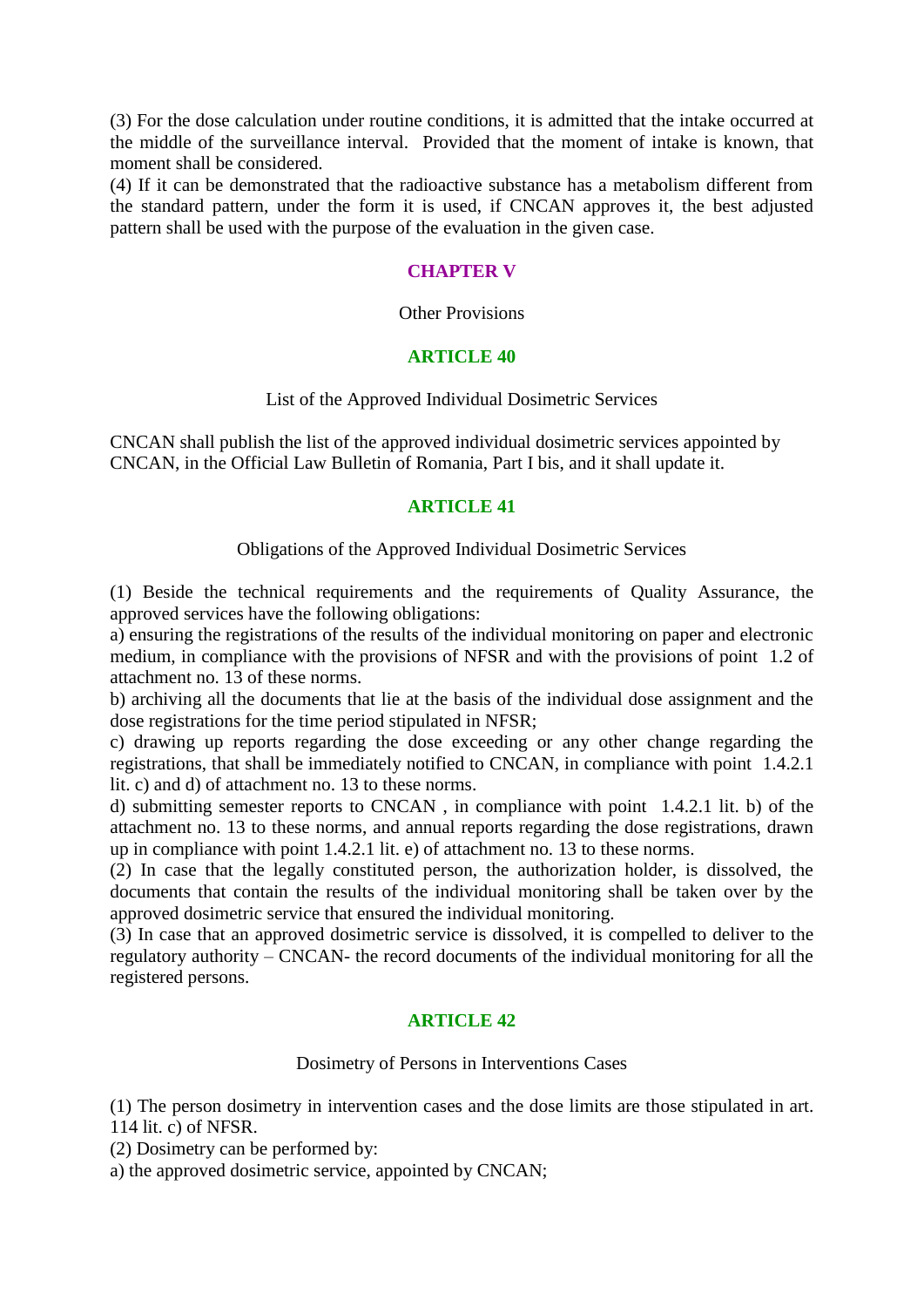(3) For the dose calculation under routine conditions, it is admitted that the intake occurred at the middle of the surveillance interval. Provided that the moment of intake is known, that moment shall be considered.

(4) If it can be demonstrated that the radioactive substance has a metabolism different from the standard pattern, under the form it is used, if CNCAN approves it, the best adjusted pattern shall be used with the purpose of the evaluation in the given case.

## **CHAPTER V**

### Other Provisions

### **ARTICLE 40**

### List of the Approved Individual Dosimetric Services

CNCAN shall publish the list of the approved individual dosimetric services appointed by CNCAN, in the Official Law Bulletin of Romania, Part I bis, and it shall update it.

## **ARTICLE 41**

### Obligations of the Approved Individual Dosimetric Services

(1) Beside the technical requirements and the requirements of Quality Assurance, the approved services have the following obligations:

a) ensuring the registrations of the results of the individual monitoring on paper and electronic medium, in compliance with the provisions of NFSR and with the provisions of point 1.2 of attachment no. 13 of these norms.

b) archiving all the documents that lie at the basis of the individual dose assignment and the dose registrations for the time period stipulated in NFSR;

c) drawing up reports regarding the dose exceeding or any other change regarding the registrations, that shall be immediately notified to CNCAN, in compliance with point 1.4.2.1 lit. c) and d) of attachment no. 13 to these norms.

d) submitting semester reports to CNCAN , in compliance with point 1.4.2.1 lit. b) of the attachment no. 13 to these norms, and annual reports regarding the dose registrations, drawn up in compliance with point 1.4.2.1 lit. e) of attachment no. 13 to these norms.

(2) In case that the legally constituted person, the authorization holder, is dissolved, the documents that contain the results of the individual monitoring shall be taken over by the approved dosimetric service that ensured the individual monitoring.

(3) In case that an approved dosimetric service is dissolved, it is compelled to deliver to the regulatory authority – CNCAN- the record documents of the individual monitoring for all the registered persons.

## **ARTICLE 42**

### Dosimetry of Persons in Interventions Cases

(1) The person dosimetry in intervention cases and the dose limits are those stipulated in art. 114 lit. c) of NFSR.

(2) Dosimetry can be performed by:

a) the approved dosimetric service, appointed by CNCAN;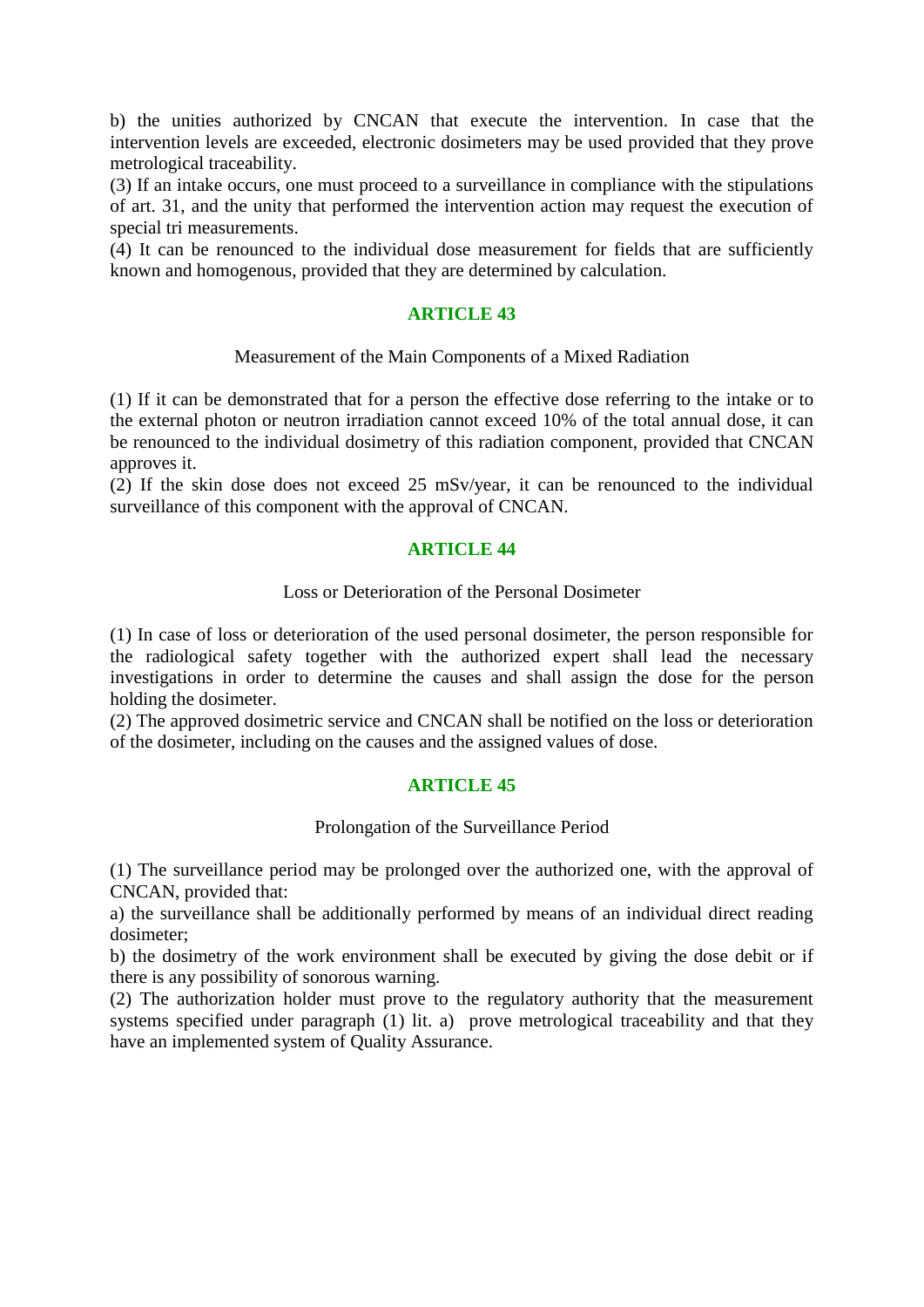b) the unities authorized by CNCAN that execute the intervention. In case that the intervention levels are exceeded, electronic dosimeters may be used provided that they prove metrological traceability.

(3) If an intake occurs, one must proceed to a surveillance in compliance with the stipulations of art. 31, and the unity that performed the intervention action may request the execution of special tri measurements.

(4) It can be renounced to the individual dose measurement for fields that are sufficiently known and homogenous, provided that they are determined by calculation.

## **ARTICLE 43**

### Measurement of the Main Components of a Mixed Radiation

(1) If it can be demonstrated that for a person the effective dose referring to the intake or to the external photon or neutron irradiation cannot exceed 10% of the total annual dose, it can be renounced to the individual dosimetry of this radiation component, provided that CNCAN approves it.

(2) If the skin dose does not exceed 25 mSv/year, it can be renounced to the individual surveillance of this component with the approval of CNCAN.

### **ARTICLE 44**

### Loss or Deterioration of the Personal Dosimeter

(1) In case of loss or deterioration of the used personal dosimeter, the person responsible for the radiological safety together with the authorized expert shall lead the necessary investigations in order to determine the causes and shall assign the dose for the person holding the dosimeter.

(2) The approved dosimetric service and CNCAN shall be notified on the loss or deterioration of the dosimeter, including on the causes and the assigned values of dose.

### **ARTICLE 45**

### Prolongation of the Surveillance Period

(1) The surveillance period may be prolonged over the authorized one, with the approval of CNCAN, provided that:

a) the surveillance shall be additionally performed by means of an individual direct reading dosimeter;

b) the dosimetry of the work environment shall be executed by giving the dose debit or if there is any possibility of sonorous warning.

(2) The authorization holder must prove to the regulatory authority that the measurement systems specified under paragraph (1) lit. a) prove metrological traceability and that they have an implemented system of Quality Assurance.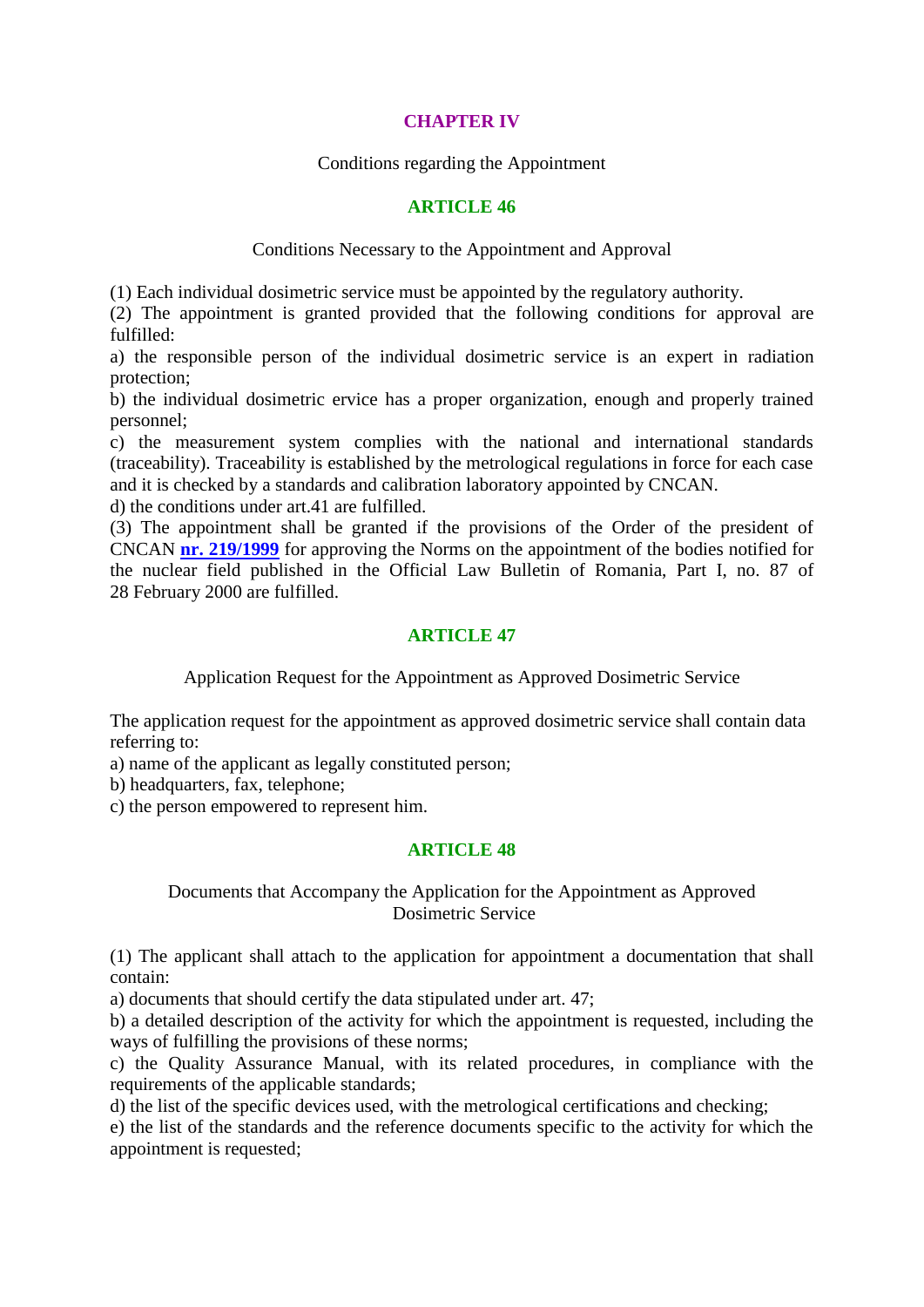## **CHAPTER IV**

Conditions regarding the Appointment

### **ARTICLE 46**

Conditions Necessary to the Appointment and Approval

(1) Each individual dosimetric service must be appointed by the regulatory authority.

(2) The appointment is granted provided that the following conditions for approval are fulfilled:

a) the responsible person of the individual dosimetric service is an expert in radiation protection;

b) the individual dosimetric ervice has a proper organization, enough and properly trained personnel;

c) the measurement system complies with the national and international standards (traceability). Traceability is established by the metrological regulations in force for each case and it is checked by a standards and calibration laboratory appointed by CNCAN.

d) the conditions under art.41 are fulfilled.

(3) The appointment shall be granted if the provisions of the Order of the president of CNCAN **[nr. 219/1999](lnk:ORN%20CAN%20219%201999%200)** for approving the Norms on the appointment of the bodies notified for the nuclear field published in the Official Law Bulletin of Romania, Part I, no. 87 of 28 February 2000 are fulfilled.

## **ARTICLE 47**

Application Request for the Appointment as Approved Dosimetric Service

The application request for the appointment as approved dosimetric service shall contain data referring to:

a) name of the applicant as legally constituted person;

b) headquarters, fax, telephone;

c) the person empowered to represent him.

## **ARTICLE 48**

### Documents that Accompany the Application for the Appointment as Approved Dosimetric Service

(1) The applicant shall attach to the application for appointment a documentation that shall contain:

a) documents that should certify the data stipulated under art. 47;

b) a detailed description of the activity for which the appointment is requested, including the ways of fulfilling the provisions of these norms;

c) the Quality Assurance Manual, with its related procedures, in compliance with the requirements of the applicable standards;

d) the list of the specific devices used, with the metrological certifications and checking;

e) the list of the standards and the reference documents specific to the activity for which the appointment is requested;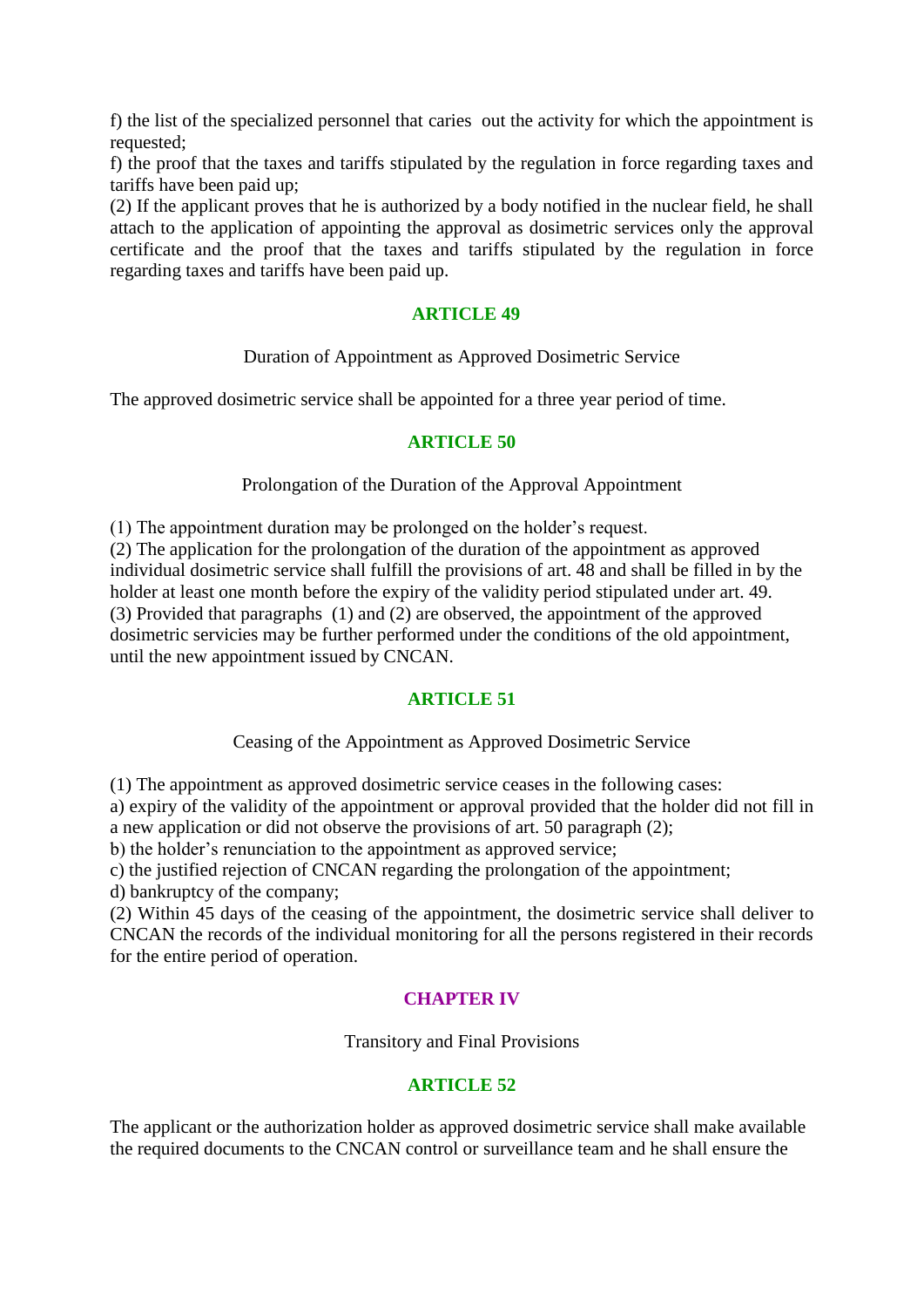f) the list of the specialized personnel that caries out the activity for which the appointment is requested;

f) the proof that the taxes and tariffs stipulated by the regulation in force regarding taxes and tariffs have been paid up;

(2) If the applicant proves that he is authorized by a body notified in the nuclear field, he shall attach to the application of appointing the approval as dosimetric services only the approval certificate and the proof that the taxes and tariffs stipulated by the regulation in force regarding taxes and tariffs have been paid up.

### **ARTICLE 49**

Duration of Appointment as Approved Dosimetric Service

The approved dosimetric service shall be appointed for a three year period of time.

### **ARTICLE 50**

Prolongation of the Duration of the Approval Appointment

(1) The appointment duration may be prolonged on the holder's request.

(2) The application for the prolongation of the duration of the appointment as approved individual dosimetric service shall fulfill the provisions of art. 48 and shall be filled in by the holder at least one month before the expiry of the validity period stipulated under art. 49. (3) Provided that paragraphs (1) and (2) are observed, the appointment of the approved dosimetric servicies may be further performed under the conditions of the old appointment, until the new appointment issued by CNCAN.

## **ARTICLE 51**

Ceasing of the Appointment as Approved Dosimetric Service

(1) The appointment as approved dosimetric service ceases in the following cases:

a) expiry of the validity of the appointment or approval provided that the holder did not fill in a new application or did not observe the provisions of art. 50 paragraph (2);

b) the holder's renunciation to the appointment as approved service;

c) the justified rejection of CNCAN regarding the prolongation of the appointment;

d) bankruptcy of the company;

(2) Within 45 days of the ceasing of the appointment, the dosimetric service shall deliver to CNCAN the records of the individual monitoring for all the persons registered in their records for the entire period of operation.

## **CHAPTER IV**

Transitory and Final Provisions

## **ARTICLE 52**

The applicant or the authorization holder as approved dosimetric service shall make available the required documents to the CNCAN control or surveillance team and he shall ensure the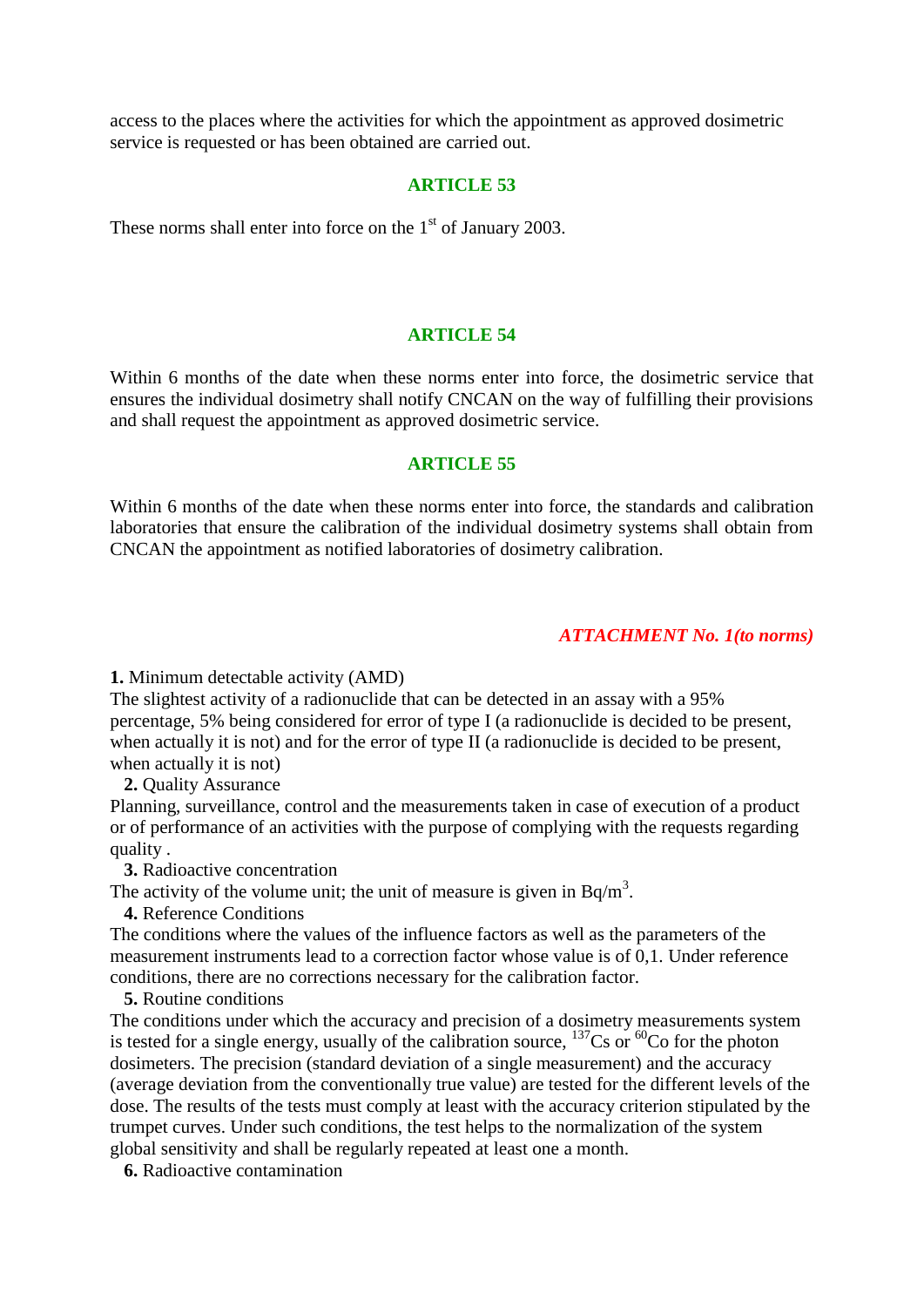access to the places where the activities for which the appointment as approved dosimetric service is requested or has been obtained are carried out.

#### **ARTICLE 53**

These norms shall enter into force on the  $1<sup>st</sup>$  of January 2003.

#### **ARTICLE 54**

Within 6 months of the date when these norms enter into force, the dosimetric service that ensures the individual dosimetry shall notify CNCAN on the way of fulfilling their provisions and shall request the appointment as approved dosimetric service.

#### **ARTICLE 55**

Within 6 months of the date when these norms enter into force, the standards and calibration laboratories that ensure the calibration of the individual dosimetry systems shall obtain from CNCAN the appointment as notified laboratories of dosimetry calibration.

#### *ATTACHMENT No. 1(to norms)*

**1.** Minimum detectable activity (AMD)

The slightest activity of a radionuclide that can be detected in an assay with a 95% percentage, 5% being considered for error of type I (a radionuclide is decided to be present, when actually it is not) and for the error of type II (a radionuclide is decided to be present, when actually it is not)

 **2.** Quality Assurance

Planning, surveillance, control and the measurements taken in case of execution of a product or of performance of an activities with the purpose of complying with the requests regarding quality .

 **3.** Radioactive concentration

The activity of the volume unit; the unit of measure is given in  $Bq/m<sup>3</sup>$ .

 **4.** Reference Conditions

The conditions where the values of the influence factors as well as the parameters of the measurement instruments lead to a correction factor whose value is of 0,1. Under reference conditions, there are no corrections necessary for the calibration factor.

 **5.** Routine conditions

The conditions under which the accuracy and precision of a dosimetry measurements system is tested for a single energy, usually of the calibration source,  $137$ Cs or  $60$ Co for the photon dosimeters. The precision (standard deviation of a single measurement) and the accuracy (average deviation from the conventionally true value) are tested for the different levels of the dose. The results of the tests must comply at least with the accuracy criterion stipulated by the trumpet curves. Under such conditions, the test helps to the normalization of the system global sensitivity and shall be regularly repeated at least one a month.

 **6.** Radioactive contamination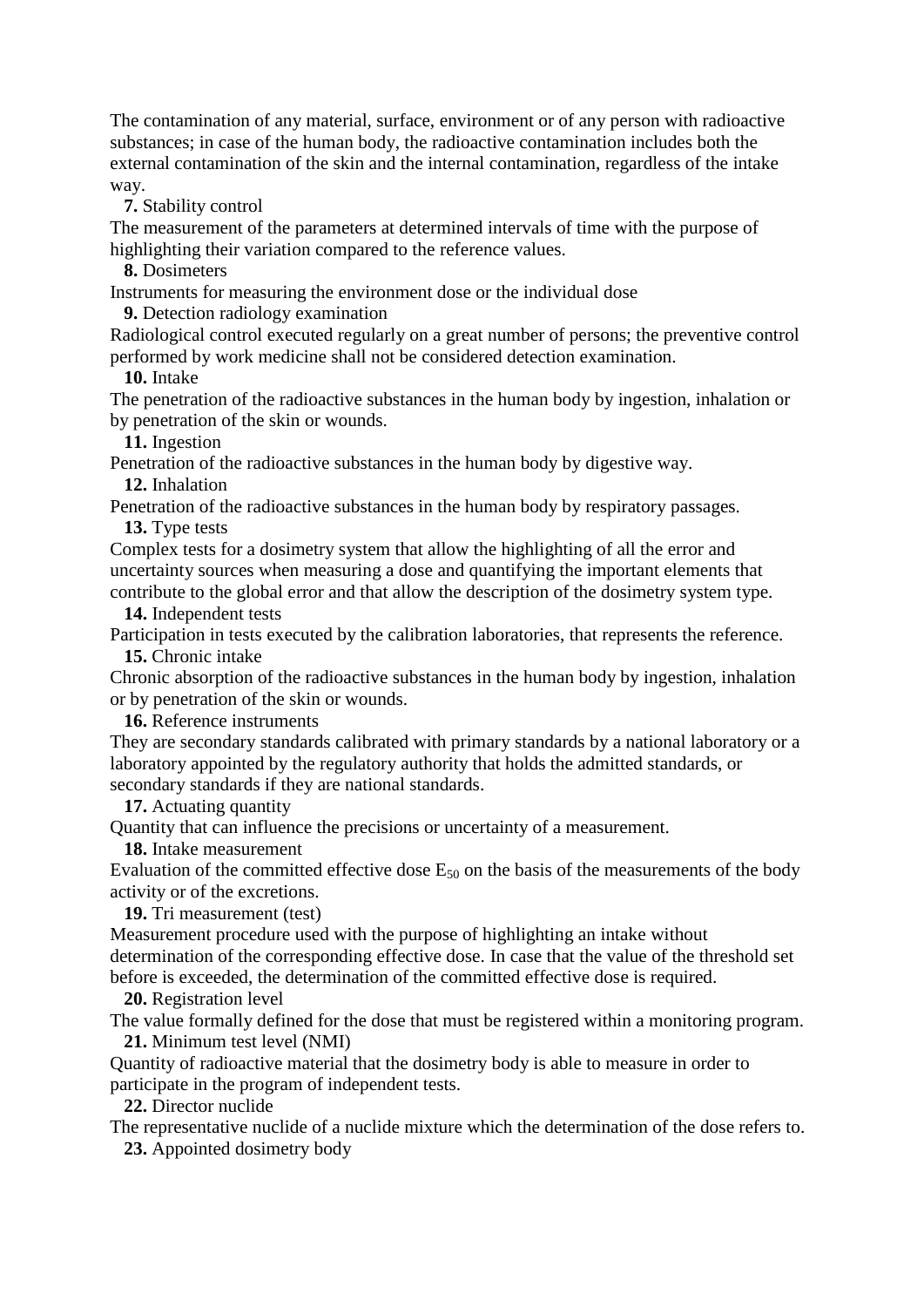The contamination of any material, surface, environment or of any person with radioactive substances; in case of the human body, the radioactive contamination includes both the external contamination of the skin and the internal contamination, regardless of the intake way.

 **7.** Stability control

The measurement of the parameters at determined intervals of time with the purpose of highlighting their variation compared to the reference values.

 **8.** Dosimeters

Instruments for measuring the environment dose or the individual dose

 **9.** Detection radiology examination

Radiological control executed regularly on a great number of persons; the preventive control performed by work medicine shall not be considered detection examination.

 **10.** Intake

The penetration of the radioactive substances in the human body by ingestion, inhalation or by penetration of the skin or wounds.

 **11.** Ingestion

Penetration of the radioactive substances in the human body by digestive way.  **12.** Inhalation

Penetration of the radioactive substances in the human body by respiratory passages.

 **13.** Type tests

Complex tests for a dosimetry system that allow the highlighting of all the error and uncertainty sources when measuring a dose and quantifying the important elements that contribute to the global error and that allow the description of the dosimetry system type.

 **14.** Independent tests

Participation in tests executed by the calibration laboratories, that represents the reference.  **15.** Chronic intake

Chronic absorption of the radioactive substances in the human body by ingestion, inhalation or by penetration of the skin or wounds.

 **16.** Reference instruments

They are secondary standards calibrated with primary standards by a national laboratory or a laboratory appointed by the regulatory authority that holds the admitted standards, or secondary standards if they are national standards.

 **17.** Actuating quantity

Quantity that can influence the precisions or uncertainty of a measurement.

 **18.** Intake measurement

Evaluation of the committed effective dose  $E_{50}$  on the basis of the measurements of the body activity or of the excretions.

 **19.** Tri measurement (test)

Measurement procedure used with the purpose of highlighting an intake without determination of the corresponding effective dose. In case that the value of the threshold set before is exceeded, the determination of the committed effective dose is required.

 **20.** Registration level

The value formally defined for the dose that must be registered within a monitoring program.  **21.** Minimum test level (NMI)

Quantity of radioactive material that the dosimetry body is able to measure in order to participate in the program of independent tests.

 **22.** Director nuclide

The representative nuclide of a nuclide mixture which the determination of the dose refers to.  **23.** Appointed dosimetry body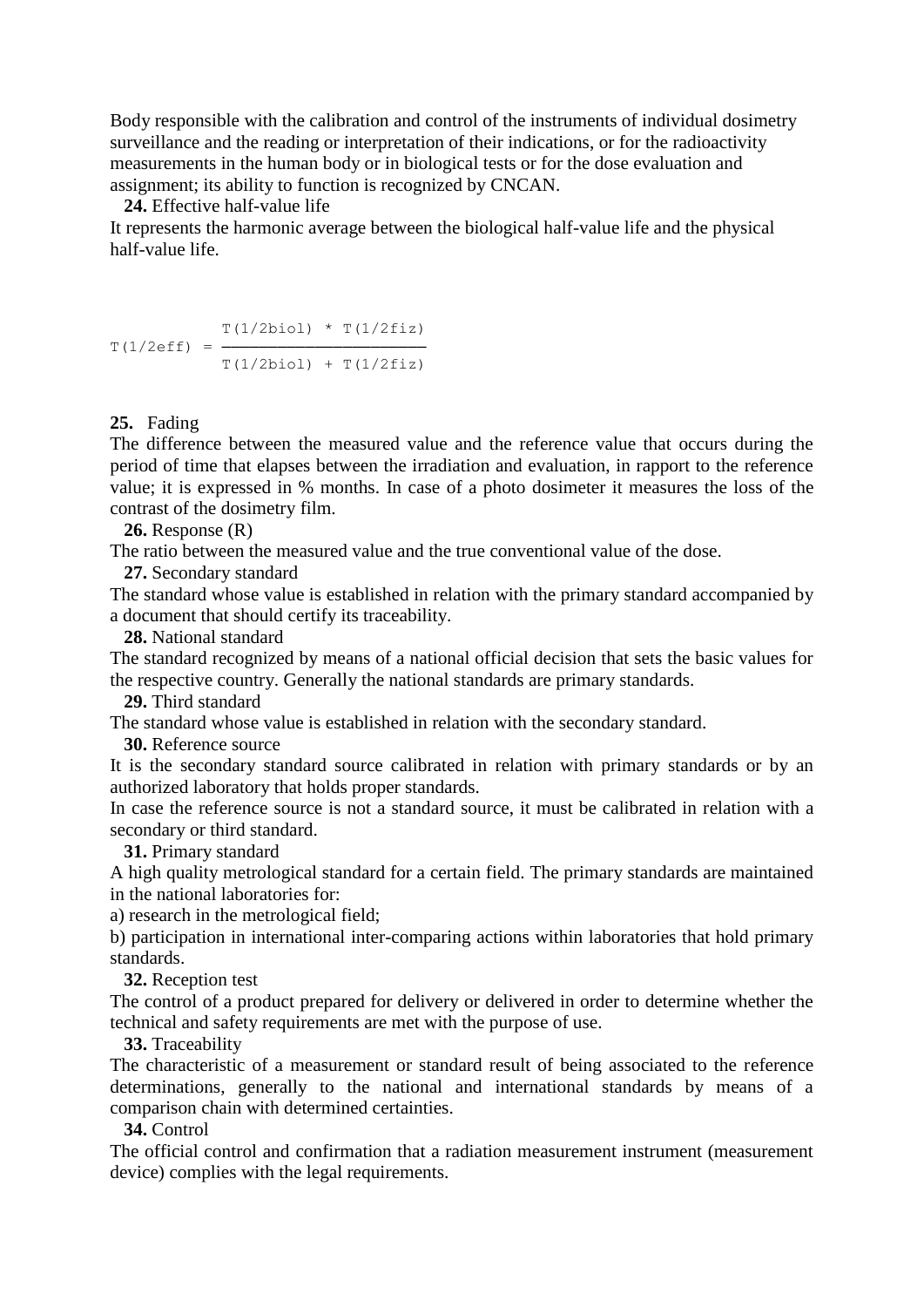Body responsible with the calibration and control of the instruments of individual dosimetry surveillance and the reading or interpretation of their indications, or for the radioactivity measurements in the human body or in biological tests or for the dose evaluation and assignment; its ability to function is recognized by CNCAN.

 **24.** Effective half-value life

It represents the harmonic average between the biological half-value life and the physical half-value life.

 $T(1/2biol) * T(1/2fiz)$  $T(1/2eff) = T(1/2biol) + T(1/2fiz)$ 

#### **25.** Fading

The difference between the measured value and the reference value that occurs during the period of time that elapses between the irradiation and evaluation, in rapport to the reference value; it is expressed in % months. In case of a photo dosimeter it measures the loss of the contrast of the dosimetry film.

 **26.** Response (R)

The ratio between the measured value and the true conventional value of the dose.

 **27.** Secondary standard

The standard whose value is established in relation with the primary standard accompanied by a document that should certify its traceability.

 **28.** National standard

The standard recognized by means of a national official decision that sets the basic values for the respective country. Generally the national standards are primary standards.

 **29.** Third standard

The standard whose value is established in relation with the secondary standard.

 **30.** Reference source

It is the secondary standard source calibrated in relation with primary standards or by an authorized laboratory that holds proper standards.

In case the reference source is not a standard source, it must be calibrated in relation with a secondary or third standard.

#### **31.** Primary standard

A high quality metrological standard for a certain field. The primary standards are maintained in the national laboratories for:

a) research in the metrological field;

b) participation in international inter-comparing actions within laboratories that hold primary standards.

 **32.** Reception test

The control of a product prepared for delivery or delivered in order to determine whether the technical and safety requirements are met with the purpose of use.

 **33.** Traceability

The characteristic of a measurement or standard result of being associated to the reference determinations, generally to the national and international standards by means of a comparison chain with determined certainties.

 **34.** Control

The official control and confirmation that a radiation measurement instrument (measurement device) complies with the legal requirements.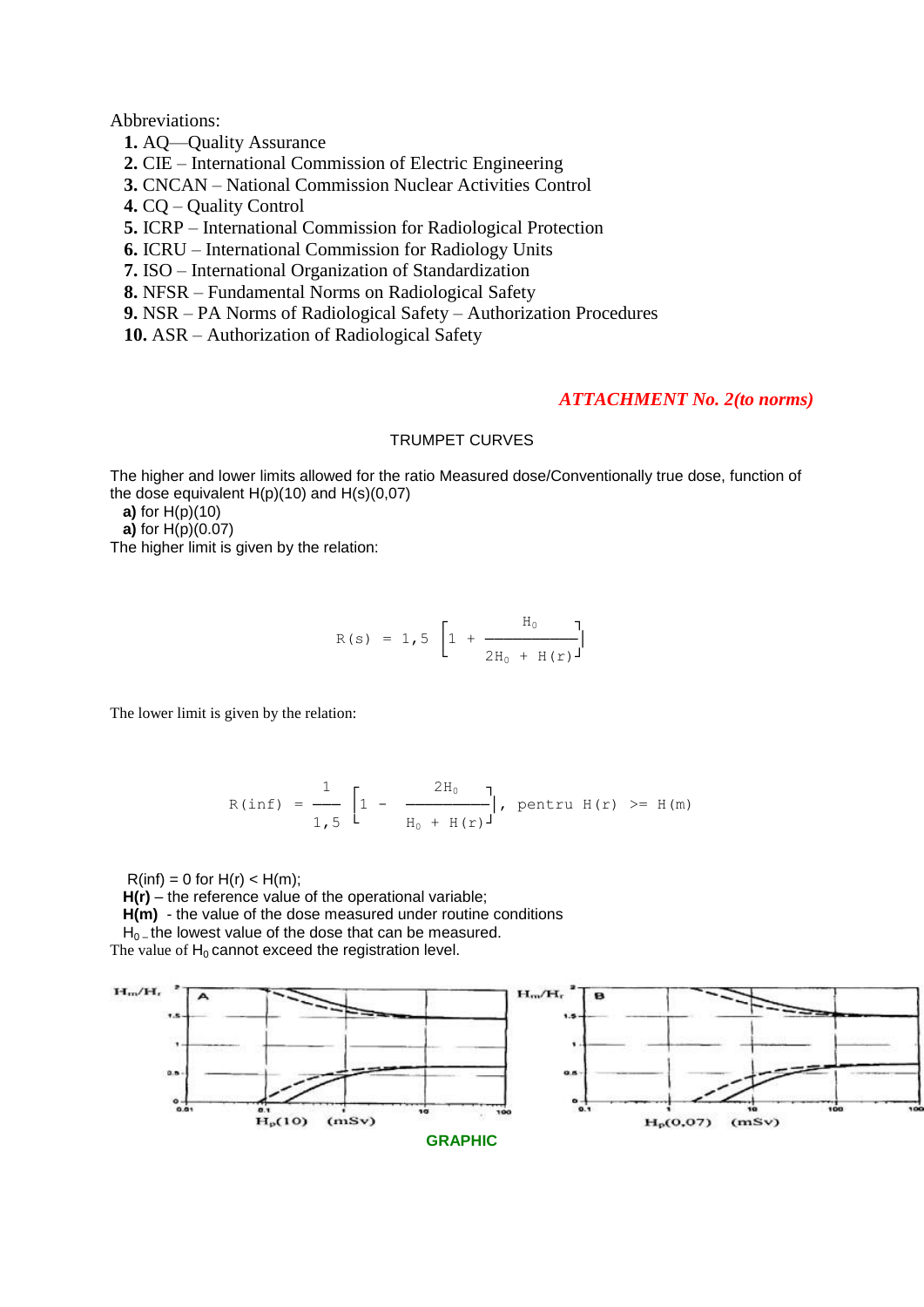Abbreviations:

 **1.** AQ—Quality Assurance

 **2.** CIE – International Commission of Electric Engineering

 **3.** CNCAN – National Commission Nuclear Activities Control

 **4.** CQ – Quality Control

 **5.** ICRP – International Commission for Radiological Protection

 **6.** ICRU – International Commission for Radiology Units

 **7.** ISO – International Organization of Standardization

 **8.** NFSR – Fundamental Norms on Radiological Safety

 **9.** NSR – PA Norms of Radiological Safety – Authorization Procedures

 **10.** ASR – Authorization of Radiological Safety

#### *ATTACHMENT No. 2(to norms)*

#### TRUMPET CURVES

The higher and lower limits allowed for the ratio Measured dose/Conventionally true dose, function of the dose equivalent  $H(p)(10)$  and  $H(s)(0,07)$ 

 **a)** for H(p)(10)

 **a)** for H(p)(0.07)

The higher limit is given by the relation:

$$
R(s) = 1,5 \left[ 1 + \frac{H_0}{2H_0 + H(r)} \right]
$$

The lower limit is given by the relation:

$$
R(inf) = \frac{1}{1,5} \left[ 1 - \frac{2H_0}{H_0 + H(r)} \right], \text{ pentru } H(r) \geq H(m)
$$

 $R(int) = 0$  for  $H(r) < H(m)$ ;

 **H(r)** – the reference value of the operational variable;

 **H(m)** - the value of the dose measured under routine conditions

 $H_0$  – the lowest value of the dose that can be measured. The value of  $H_0$  cannot exceed the registration level.

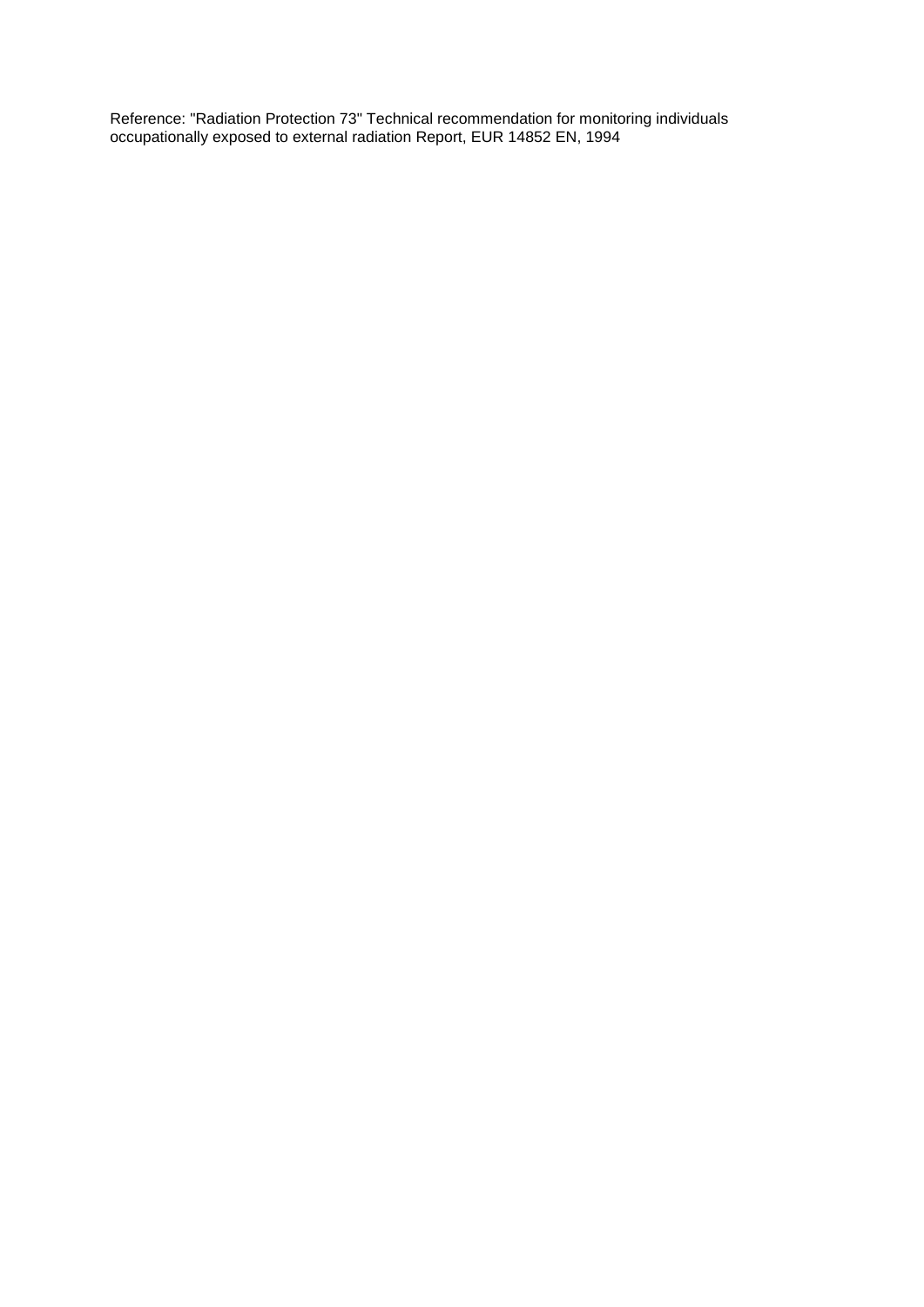Reference: "Radiation Protection 73" Technical recommendation for monitoring individuals occupationally exposed to external radiation Report, EUR 14852 EN, 1994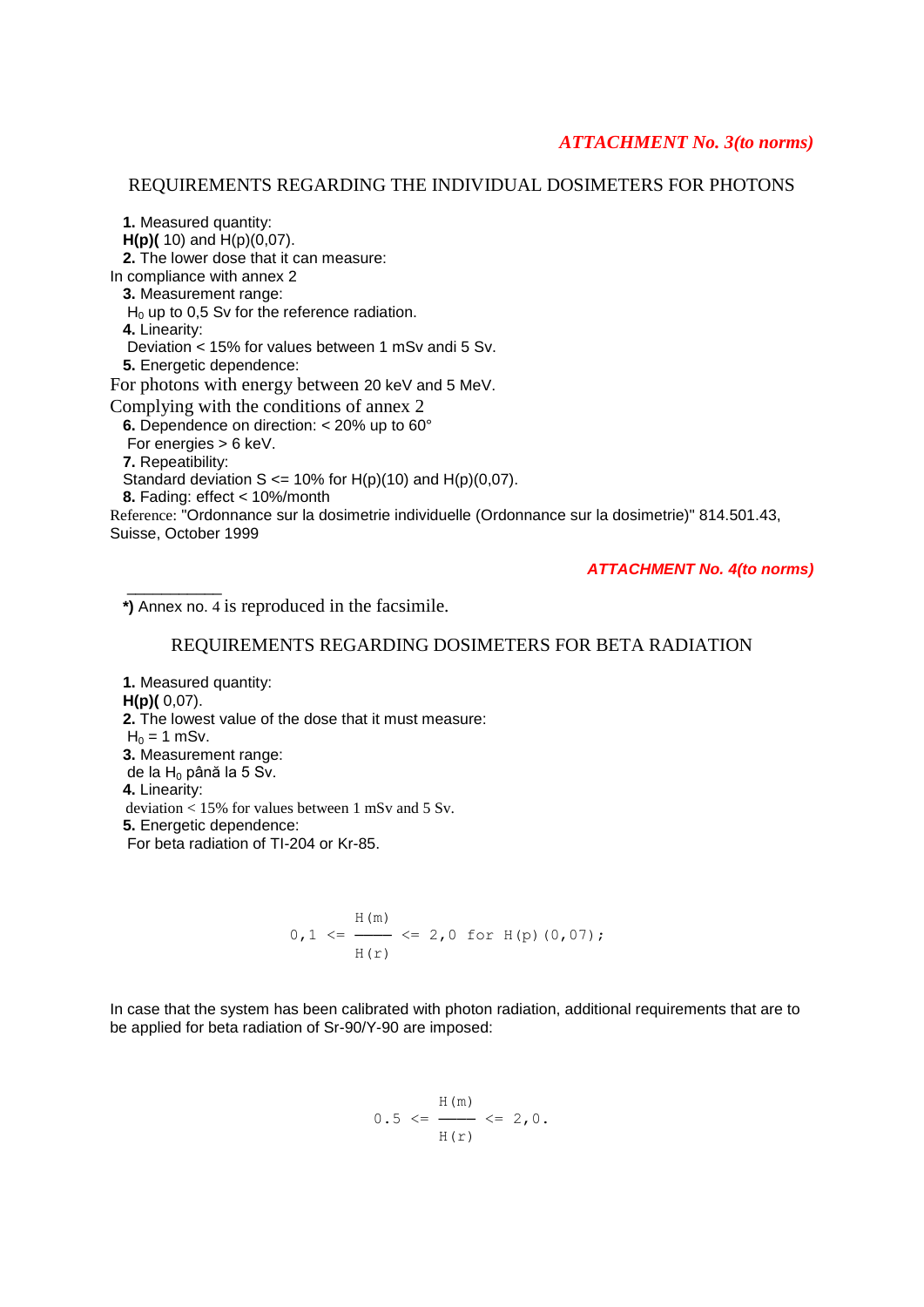#### *ATTACHMENT No. 3(to norms)*

#### REQUIREMENTS REGARDING THE INDIVIDUAL DOSIMETERS FOR PHOTONS

 **1.** Measured quantity:  **H(p)(** 10) and H(p)(0,07).  **2.** The lower dose that it can measure: In compliance with annex 2  **3.** Measurement range:  $H_0$  up to 0,5 Sv for the reference radiation.  **4.** Linearity: Deviation < 15% for values between 1 mSv andi 5 Sv.  **5.** Energetic dependence: For photons with energy between 20 keV and 5 MeV. Complying with the conditions of annex 2  **6.** Dependence on direction: < 20% up to 60° For energies > 6 keV.  **7.** Repeatibility: Standard deviation  $S \le 10\%$  for H(p)(10) and H(p)(0,07).  **8.** Fading: effect < 10%/month Reference: "Ordonnance sur la dosimetrie individuelle (Ordonnance sur la dosimetrie)" 814.501.43, Suisse, October 1999

*ATTACHMENT No. 4(to norms)*

 **\*)** Annex no. 4 is reproduced in the facsimile.

\_\_\_\_\_\_\_\_\_\_\_

#### REQUIREMENTS REGARDING DOSIMETERS FOR BETA RADIATION

 **1.** Measured quantity:  **H(p)(** 0,07).  **2.** The lowest value of the dose that it must measure:  $H_0 = 1$  mSv.  **3.** Measurement range: de la  $H_0$  până la 5 Sv.  **4.** Linearity: deviation < 15% for values between 1 mSv and 5 Sv.  **5.** Energetic dependence: For beta radiation of TI-204 or Kr-85.

$$
0, 1 \leq \frac{H(m)}{H(r)}
$$
  $\leq 2, 0$  for H(p) (0, 07);

In case that the system has been calibrated with photon radiation, additional requirements that are to be applied for beta radiation of Sr-90/Y-90 are imposed:

$$
0.5 \leq \frac{H(m)}{H(r)} \leq 2, 0.
$$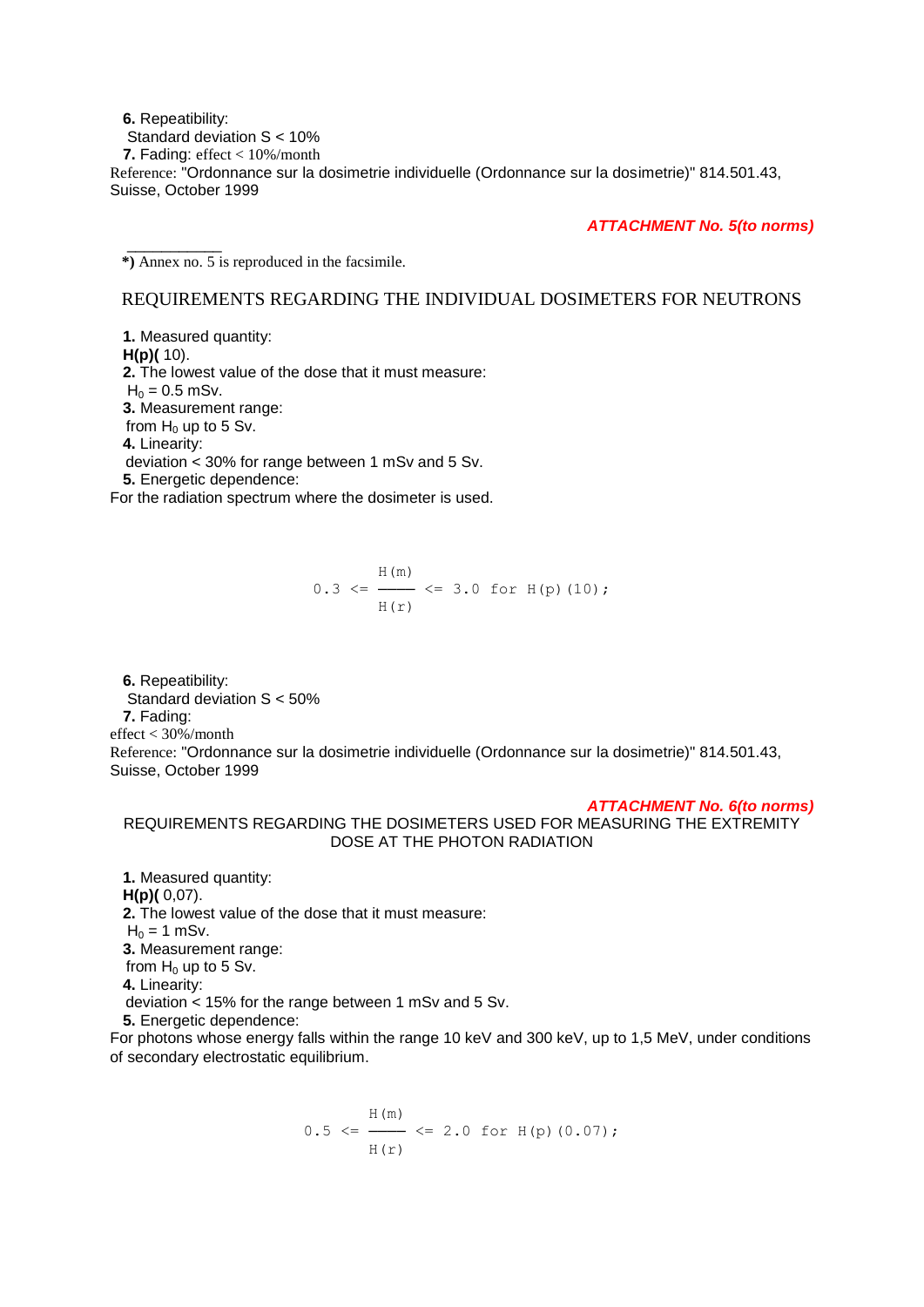**6.** Repeatibility: Standard deviation S < 10%  **7.** Fading: effect < 10%/month Reference: "Ordonnance sur la dosimetrie individuelle (Ordonnance sur la dosimetrie)" 814.501.43, Suisse, October 1999

*ATTACHMENT No. 5(to norms)*

\_\_\_\_\_\_\_\_\_\_\_  **\*)** Annex no. 5 is reproduced in the facsimile.

#### REQUIREMENTS REGARDING THE INDIVIDUAL DOSIMETERS FOR NEUTRONS

 **1.** Measured quantity:  **H(p)(** 10).  **2.** The lowest value of the dose that it must measure:  $H_0 = 0.5$  mSv.  **3.** Measurement range: from  $H_0$  up to 5 Sv.  **4.** Linearity: deviation < 30% for range between 1 mSv and 5 Sv.  **5.** Energetic dependence:

For the radiation spectrum where the dosimeter is used.

$$
0.3 \leq \frac{H(m)}{H(r)} \leq 3.0 \text{ for H(p) (10)};
$$

 **6.** Repeatibility: Standard deviation S < 50%  **7.** Fading: effect < 30%/month Reference: "Ordonnance sur la dosimetrie individuelle (Ordonnance sur la dosimetrie)" 814.501.43, Suisse, October 1999

#### *ATTACHMENT No. 6(to norms)*

REQUIREMENTS REGARDING THE DOSIMETERS USED FOR MEASURING THE EXTREMITY DOSE AT THE PHOTON RADIATION

 **1.** Measured quantity:  **H(p)(** 0,07).  **2.** The lowest value of the dose that it must measure:  $H_0 = 1$  mSv.  **3.** Measurement range: from  $H_0$  up to 5 Sv.  **4.** Linearity: deviation < 15% for the range between 1 mSv and 5 Sv.  **5.** Energetic dependence:

For photons whose energy falls within the range 10 keV and 300 keV, up to 1,5 MeV, under conditions of secondary electrostatic equilibrium.

$$
0.5 \leq \frac{H(m)}{H(r)} \leq 2.0 \text{ for } H(p) (0.07);
$$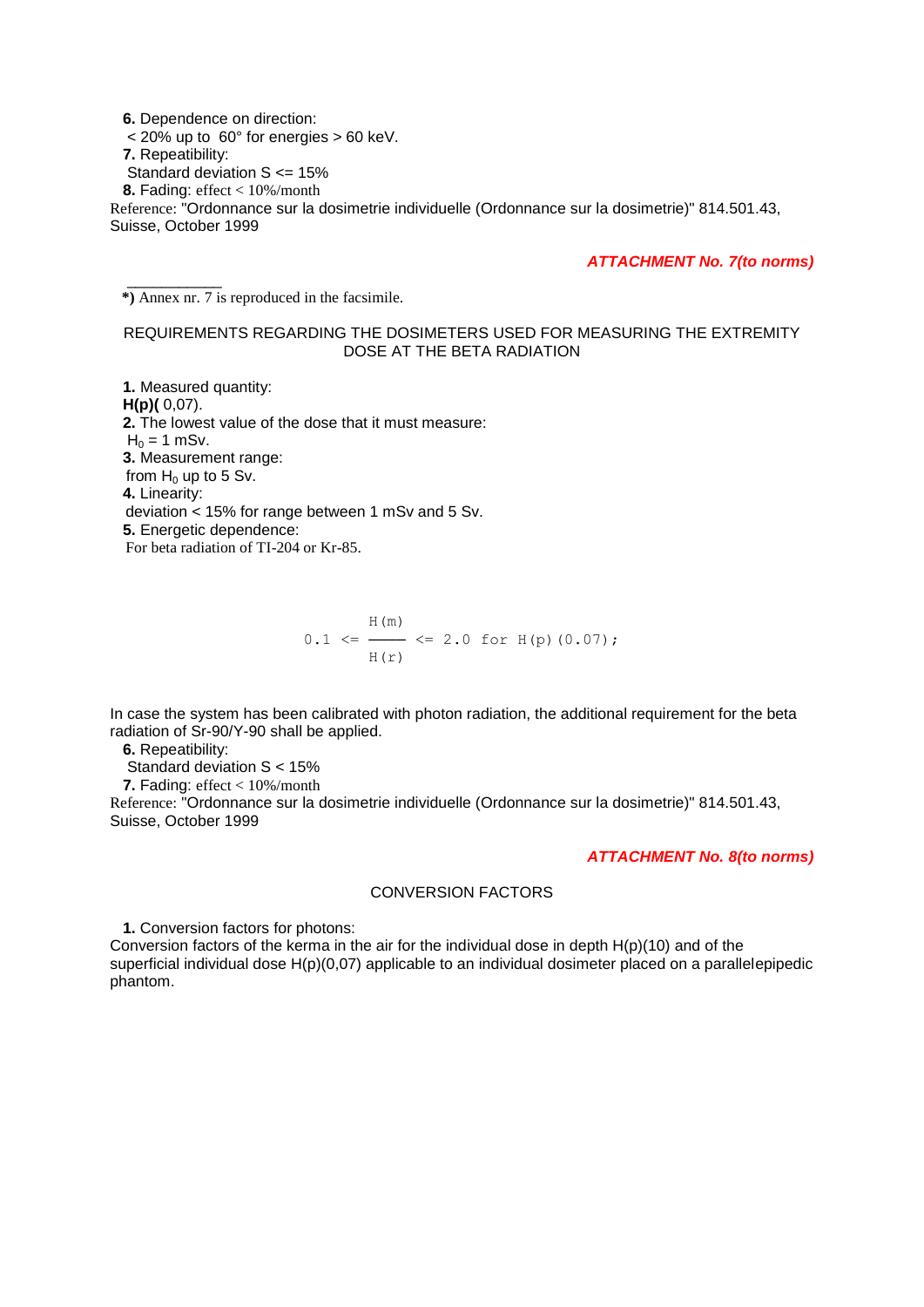**6.** Dependence on direction:  $<$  20% up to 60 $^{\circ}$  for energies  $>$  60 keV.  **7.** Repeatibility: Standard deviation S <= 15%  **8.** Fading: effect < 10%/month Reference: "Ordonnance sur la dosimetrie individuelle (Ordonnance sur la dosimetrie)" 814.501.43, Suisse, October 1999

*ATTACHMENT No. 7(to norms)*

 **\*)** Annex nr. 7 is reproduced in the facsimile.

\_\_\_\_\_\_\_\_\_\_\_

#### REQUIREMENTS REGARDING THE DOSIMETERS USED FOR MEASURING THE EXTREMITY DOSE AT THE BETA RADIATION

 **1.** Measured quantity:  **H(p)(** 0,07).  **2.** The lowest value of the dose that it must measure:  $H_0 = 1$  mSv.  **3.** Measurement range: from  $H_0$  up to 5 Sv.  **4.** Linearity: deviation < 15% for range between 1 mSv and 5 Sv.  **5.** Energetic dependence: For beta radiation of TI-204 or Kr-85.

$$
0.1 \leq \frac{H(m)}{H(r)} \leq 2.0 \text{ for } H(p) (0.07);
$$

In case the system has been calibrated with photon radiation, the additional requirement for the beta radiation of Sr-90/Y-90 shall be applied.

 **6.** Repeatibility:

Standard deviation S < 15%

 **7.** Fading: effect < 10%/month

Reference: "Ordonnance sur la dosimetrie individuelle (Ordonnance sur la dosimetrie)" 814.501.43, Suisse, October 1999

#### *ATTACHMENT No. 8(to norms)*

#### CONVERSION FACTORS

 **1.** Conversion factors for photons:

Conversion factors of the kerma in the air for the individual dose in depth H(p)(10) and of the superficial individual dose H(p)(0,07) applicable to an individual dosimeter placed on a parallelepipedic phantom.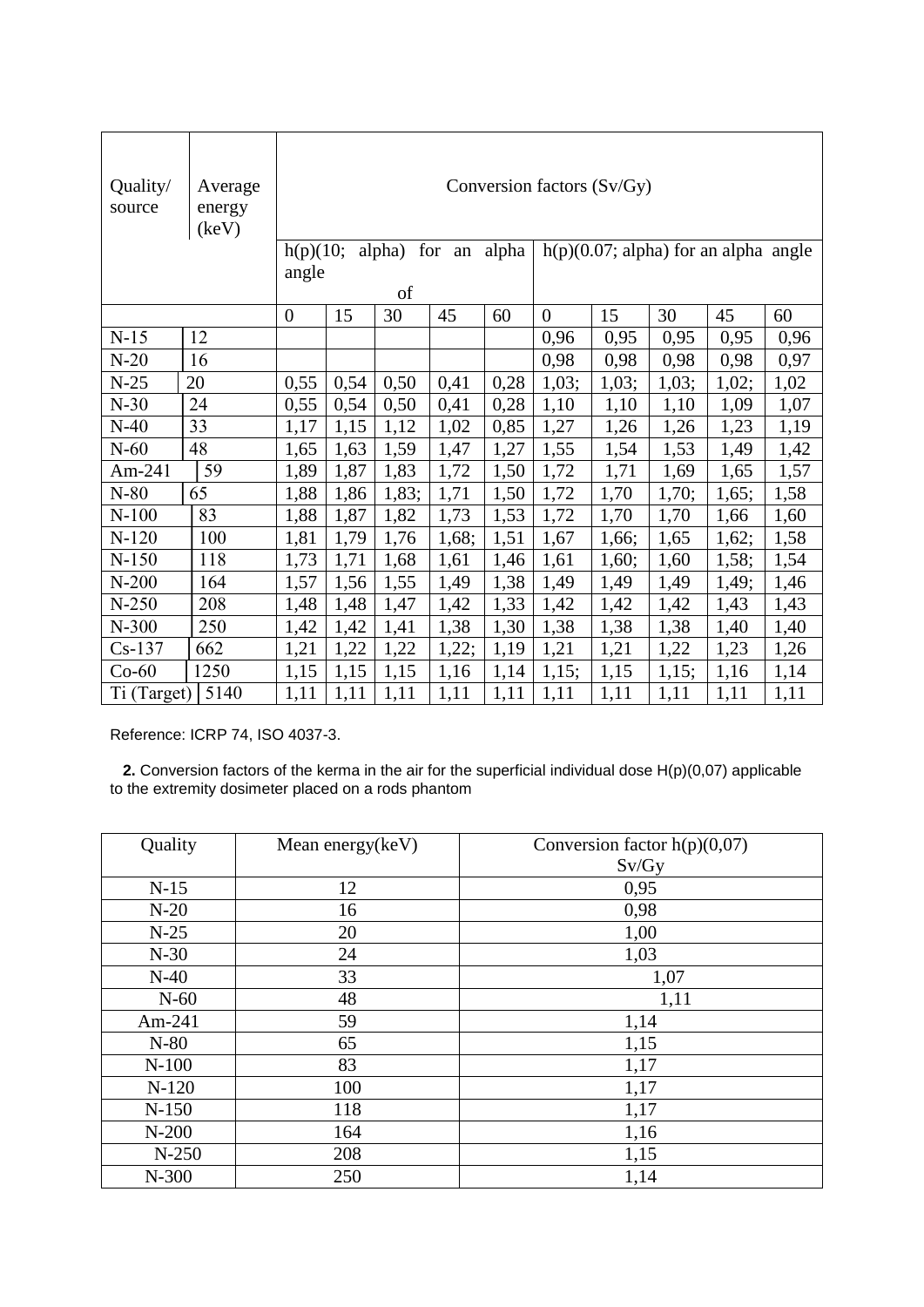| Quality/<br>source | Average<br>energy<br>(key) | Conversion factors (Sv/Gy) |                                                                                             |       |       |      |                |       |       |       |      |
|--------------------|----------------------------|----------------------------|---------------------------------------------------------------------------------------------|-------|-------|------|----------------|-------|-------|-------|------|
|                    |                            |                            | $h(p)(0.07; alpha)$ for an alpha angle<br>alpha) for an<br>h(p)(10;<br>alpha<br>angle<br>of |       |       |      |                |       |       |       |      |
|                    |                            | $\overline{0}$             | 15                                                                                          | 30    | 45    | 60   | $\overline{0}$ | 15    | 30    | 45    | 60   |
| $N-15$             | 12                         |                            |                                                                                             |       |       |      | 0,96           | 0,95  | 0,95  | 0,95  | 0,96 |
| $N-20$             | 16                         |                            |                                                                                             |       |       |      | 0,98           | 0,98  | 0,98  | 0,98  | 0,97 |
| $N-25$             | 20                         | 0,55                       | 0,54                                                                                        | 0,50  | 0,41  | 0,28 | 1,03;          | 1,03; | 1,03; | 1,02; | 1,02 |
| $N-30$             | 24                         | 0,55                       | 0,54                                                                                        | 0,50  | 0,41  | 0,28 | 1,10           | 1,10  | 1,10  | 1,09  | 1,07 |
| $N-40$             | 33                         | 1,17                       | 1,15                                                                                        | 1,12  | 1,02  | 0,85 | 1,27           | 1,26  | 1,26  | 1,23  | 1,19 |
| $N-60$             | 48                         | 1,65                       | 1,63                                                                                        | 1,59  | 1,47  | 1,27 | 1,55           | 1,54  | 1,53  | 1,49  | 1,42 |
| Am-241             | 59                         | 1,89                       | 1,87                                                                                        | 1,83  | 1,72  | 1,50 | 1,72           | 1,71  | 1,69  | 1,65  | 1,57 |
| $N-80$             | 65                         | 1,88                       | 1,86                                                                                        | 1,83; | 1,71  | 1,50 | 1,72           | 1,70  | 1,70; | 1,65; | 1,58 |
| $N-100$            | 83                         | 1,88                       | 1,87                                                                                        | 1,82  | 1,73  | 1,53 | 1,72           | 1,70  | 1,70  | 1,66  | 1,60 |
| $N-120$            | 100                        | 1,81                       | 1,79                                                                                        | 1,76  | 1,68; | 1,51 | 1,67           | 1,66; | 1,65  | 1,62; | 1,58 |
| $N-150$            | 118                        | 1,73                       | 1,71                                                                                        | 1,68  | 1,61  | 1,46 | 1,61           | 1,60; | 1,60  | 1,58; | 1,54 |
| $N-200$            | 164                        | 1,57                       | 1,56                                                                                        | 1,55  | 1,49  | 1,38 | 1,49           | 1,49  | 1,49  | 1,49; | 1,46 |
| $N-250$            | 208                        | 1,48                       | 1,48                                                                                        | 1,47  | 1,42  | 1,33 | 1,42           | 1,42  | 1,42  | 1,43  | 1,43 |
| $N-300$            | 250                        | 1,42                       | 1,42                                                                                        | 1,41  | 1,38  | 1,30 | 1,38           | 1,38  | 1,38  | 1,40  | 1,40 |
| $Cs-137$           | 662                        | 1,21                       | 1,22                                                                                        | 1,22  | 1,22; | 1,19 | 1,21           | 1,21  | 1,22  | 1,23  | 1,26 |
| $Co-60$            | 1250                       | 1,15                       | 1,15                                                                                        | 1,15  | 1,16  | 1,14 | 1,15;          | 1,15  | 1,15; | 1,16  | 1,14 |
| Ti (Target)        | 5140                       | 1,11                       | 1,11                                                                                        | 1,11  | 1,11  | 1,11 | 1,11           | 1,11  | 1,11  | 1,11  | 1,11 |

Reference: ICRP 74, ISO 4037-3.

 **2.** Conversion factors of the kerma in the air for the superficial individual dose H(p)(0,07) applicable to the extremity dosimeter placed on a rods phantom

| Quality   | Mean energy(keV) | Conversion factor $h(p)(0,07)$ |  |  |
|-----------|------------------|--------------------------------|--|--|
|           |                  | Sv/Gy                          |  |  |
| $N-15$    | 12               | 0,95                           |  |  |
| $N-20$    | 16               | 0,98                           |  |  |
| $N-25$    | 20               | 1,00                           |  |  |
| $N-30$    | 24               | 1,03                           |  |  |
| $N-40$    | 33               | 1,07                           |  |  |
| $N-60$    | 48               | 1,11                           |  |  |
| Am- $241$ | 59               | 1,14                           |  |  |
| $N-80$    | 65               | 1,15                           |  |  |
| $N-100$   | 83               | 1,17                           |  |  |
| $N-120$   | 100              | 1,17                           |  |  |
| $N-150$   | 118              | 1,17                           |  |  |
| $N-200$   | 164              | 1,16                           |  |  |
| $N-250$   | 208              | 1,15                           |  |  |
| N-300     | 250              | 1,14                           |  |  |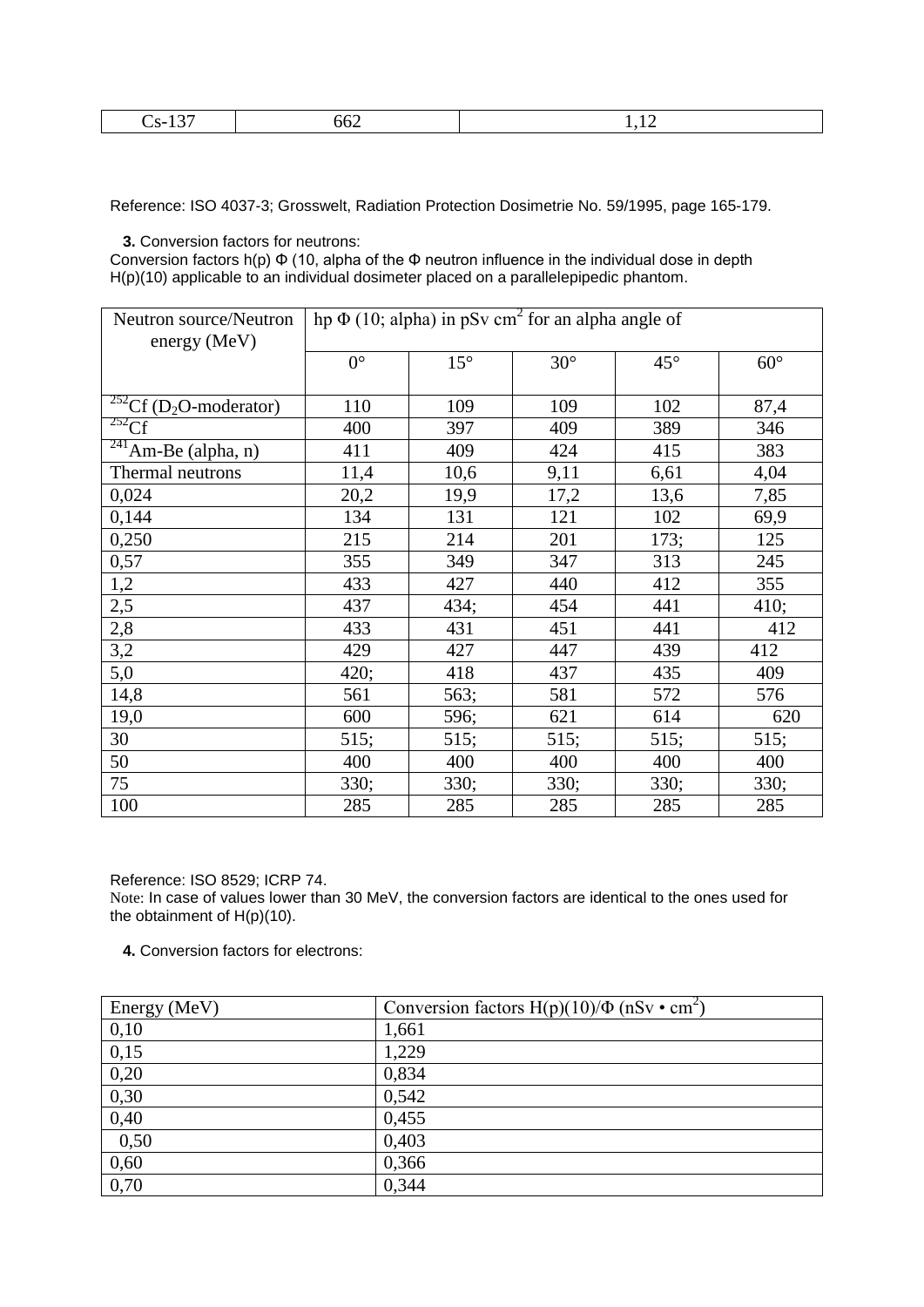| --<br>- - |
|-----------|
|-----------|

Reference: ISO 4037-3; Grosswelt, Radiation Protection Dosimetrie No. 59/1995, page 165-179.

 **3.** Conversion factors for neutrons:

Conversion factors h(p)  $\Phi$  (10, alpha of the  $\Phi$  neutron influence in the individual dose in depth H(p)(10) applicable to an individual dosimeter placed on a parallelepipedic phantom.

| Neutron source/Neutron                       | hp $\Phi$ (10; alpha) in pSv cm <sup>2</sup> for an alpha angle of |              |            |              |            |  |
|----------------------------------------------|--------------------------------------------------------------------|--------------|------------|--------------|------------|--|
| energy (MeV)                                 |                                                                    |              |            |              |            |  |
|                                              | $0^{\circ}$                                                        | $15^{\circ}$ | $30^\circ$ | $45^{\circ}$ | $60^\circ$ |  |
|                                              |                                                                    |              |            |              |            |  |
| $252 \text{Cf}$ (D <sub>2</sub> O-moderator) | 110                                                                | 109          | 109        | 102          | 87,4       |  |
| $252 \overline{Cf}$                          | 400                                                                | 397          | 409        | 389          | 346        |  |
| $\sqrt[241]{\text{Am-Be}}$ (alpha, n)        | 411                                                                | 409          | 424        | 415          | 383        |  |
| Thermal neutrons                             | 11,4                                                               | 10,6         | 9,11       | 6,61         | 4,04       |  |
| 0,024                                        | 20,2                                                               | 19,9         | 17,2       | 13,6         | 7,85       |  |
| 0,144                                        | 134                                                                | 131          | 121        | 102          | 69,9       |  |
| 0,250                                        | 215                                                                | 214          | 201        | 173;         | 125        |  |
| 0,57                                         | 355                                                                | 349          | 347        | 313          | 245        |  |
| 1,2                                          | 433                                                                | 427          | 440        | 412          | 355        |  |
| 2,5                                          | 437                                                                | 434;         | 454        | 441          | 410;       |  |
| 2,8                                          | 433                                                                | 431          | 451        | 441          | 412        |  |
| 3,2                                          | 429                                                                | 427          | 447        | 439          | 412        |  |
| 5,0                                          | 420;                                                               | 418          | 437        | 435          | 409        |  |
| 14,8                                         | 561                                                                | 563;         | 581        | 572          | 576        |  |
| 19,0                                         | 600                                                                | 596;         | 621        | 614          | 620        |  |
| 30                                           | 515;                                                               | 515;         | 515;       | 515;         | 515;       |  |
| 50                                           | 400                                                                | 400          | 400        | 400          | 400        |  |
| 75                                           | 330;                                                               | 330;         | 330;       | 330;         | 330;       |  |
| 100                                          | 285                                                                | 285          | 285        | 285          | 285        |  |

Reference: ISO 8529; ICRP 74.

Note: In case of values lower than 30 MeV, the conversion factors are identical to the ones used for the obtainment of H(p)(10).

 **4.** Conversion factors for electrons:

| Energy (MeV) | Conversion factors $H(p)(10)/\Phi$ (nSv • cm <sup>2</sup> ) |
|--------------|-------------------------------------------------------------|
| 0,10         | 1,661                                                       |
| 0,15         | 1,229                                                       |
| 0,20         | 0,834                                                       |
| 0,30         | 0,542                                                       |
| 0,40         | 0,455                                                       |
| 0,50         | 0,403                                                       |
| 0,60         | 0,366                                                       |
| 0,70         | 0,344                                                       |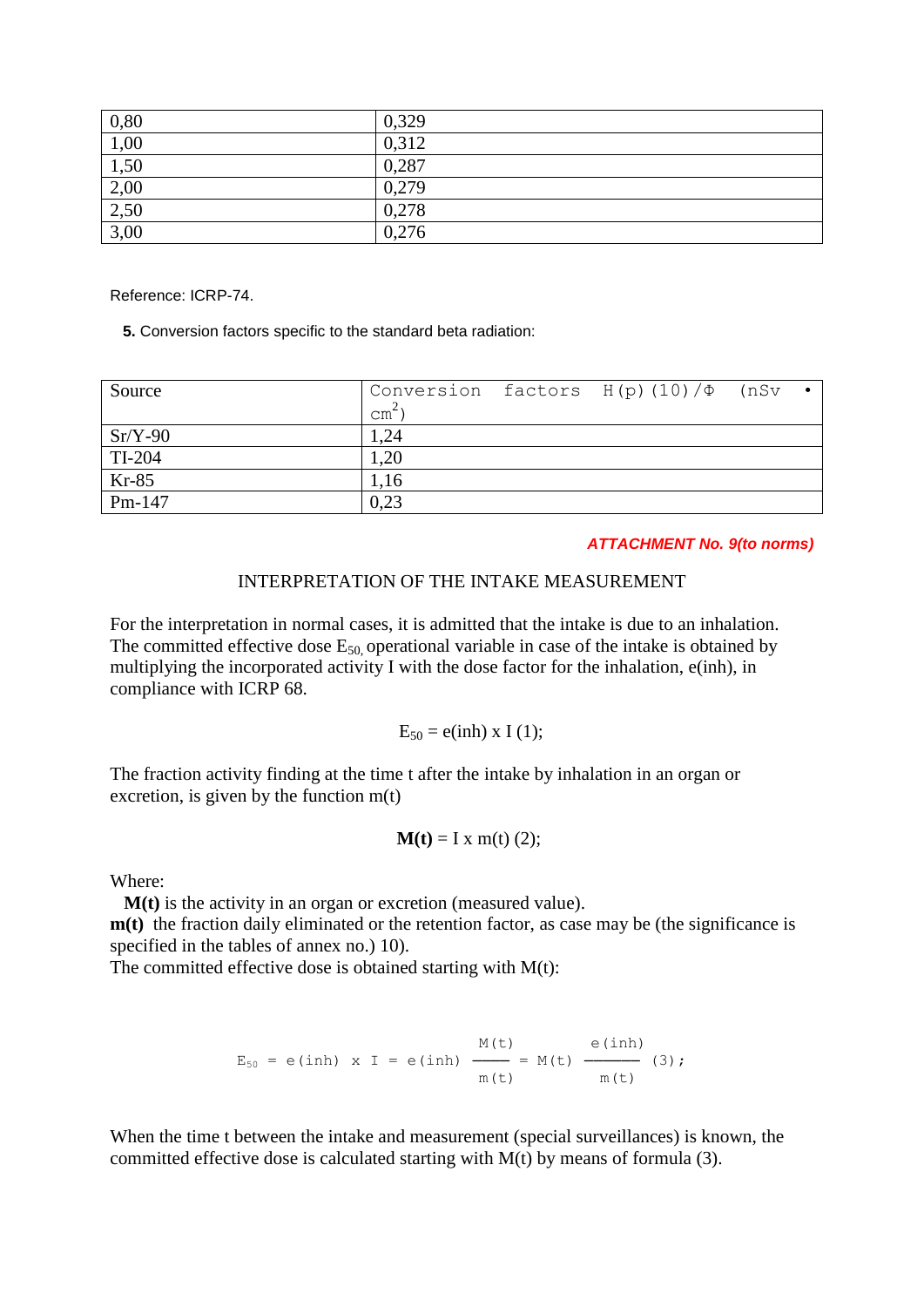| 0,80                        | 0,329 |
|-----------------------------|-------|
| 1,00                        | 0,312 |
| $\frac{1,50}{ }$            | 0,287 |
|                             | 0,279 |
| $\frac{2,00}{2,50}$<br>3,00 | 0,278 |
|                             | 0,276 |

Reference: ICRP-74.

 **5.** Conversion factors specific to the standard beta radiation:

| Source    | $\text{cm}^2$ | Conversion factors $H(p)$ (10) $/\Phi$ (nSv |  |
|-----------|---------------|---------------------------------------------|--|
| $Sr/Y-90$ | 1,24          |                                             |  |
| TI-204    | 1,20          |                                             |  |
| Kr-85     | 1,16          |                                             |  |
| $Pm-147$  | 0,23          |                                             |  |

*ATTACHMENT No. 9(to norms)*

#### INTERPRETATION OF THE INTAKE MEASUREMENT

For the interpretation in normal cases, it is admitted that the intake is due to an inhalation. The committed effective dose  $E_{50}$  operational variable in case of the intake is obtained by multiplying the incorporated activity I with the dose factor for the inhalation, e(inh), in compliance with ICRP 68.

 $E_{50} = e(inh) \times I(1);$ 

The fraction activity finding at the time t after the intake by inhalation in an organ or excretion, is given by the function  $m(t)$ 

$$
\mathbf{M(t)} = I x \mathbf{m(t)} (2);
$$

Where:

 **M(t)** is the activity in an organ or excretion (measured value).

**m**(t) the fraction daily eliminated or the retention factor, as case may be (the significance is specified in the tables of annex no.) 10).

The committed effective dose is obtained starting with  $M(t)$ :

$$
E_{50} = e(inh) \times I = e(inh) \xrightarrow{M(t)} = M(t) \xrightarrow{e(inh)} (3);
$$
  
\n $m(t) \xrightarrow{m(t)} (3);$ 

When the time t between the intake and measurement (special surveillances) is known, the committed effective dose is calculated starting with M(t) by means of formula (3).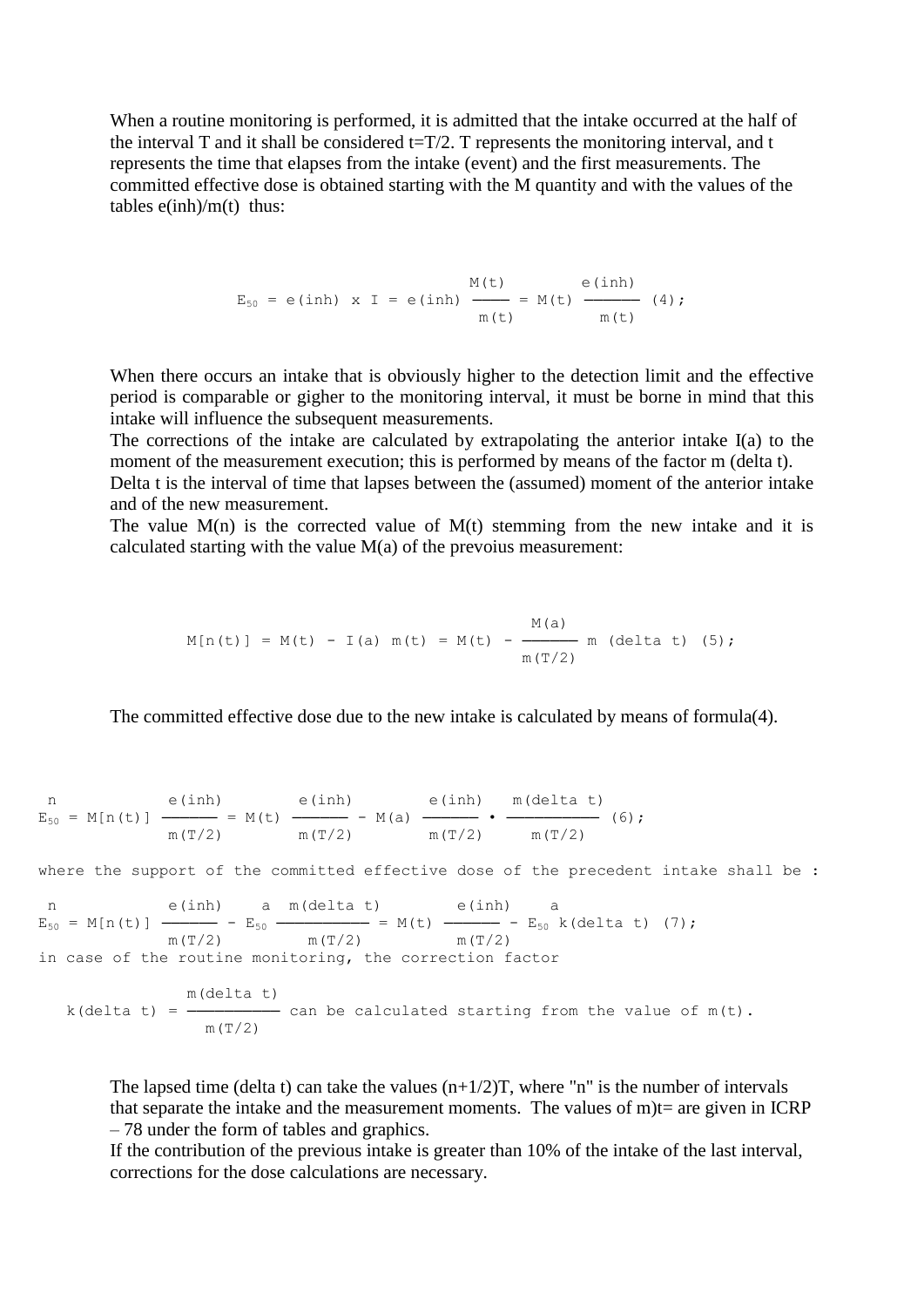When a routine monitoring is performed, it is admitted that the intake occurred at the half of the interval T and it shall be considered  $t=T/2$ . T represents the monitoring interval, and t represents the time that elapses from the intake (event) and the first measurements. The committed effective dose is obtained starting with the M quantity and with the values of the tables  $e(inh)/m(t)$  thus:

$$
E_{50} = e(inh) \times I = e(inh) \xrightarrow{M(t)} = M(t) \xrightarrow{e(inh)} (4);
$$
  
\n $m(t) \xrightarrow{m(t)} (4);$ 

When there occurs an intake that is obviously higher to the detection limit and the effective period is comparable or gigher to the monitoring interval, it must be borne in mind that this intake will influence the subsequent measurements.

The corrections of the intake are calculated by extrapolating the anterior intake I(a) to the moment of the measurement execution; this is performed by means of the factor m (delta t).

Delta t is the interval of time that lapses between the (assumed) moment of the anterior intake and of the new measurement.

The value  $M(n)$  is the corrected value of  $M(t)$  stemming from the new intake and it is calculated starting with the value  $M(a)$  of the prevoius measurement:

$$
M[n(t)] = M(t) - I(a) m(t) = M(t) - \frac{M(a)}{m(T/2)}
$$
m (delta t) (5);

The committed effective dose due to the new intake is calculated by means of formula(4).

n e(inh) e(inh) e(inh) m(delta t)  $E_{50} = M[n(t)]$  ------ = M(t) ------ - M(a) ------ • ----------- (6);  $m(T/2)$   $m(T/2)$   $m(T/2)$   $m(T/2)$ 

where the support of the committed effective dose of the precedent intake shall be :

n e(inh) a m(delta t) e(inh) a  $E_{50} = M[n(t)]$  ------ -  $E_{50}$  --------- = M(t) ----- -  $E_{50}$  k(delta t) (7);  $m(T/2)$   $m(T/2)$   $m(T/2)$ in case of the routine monitoring, the correction factor

$$
k(\text{delta } t) = \frac{\text{m}(\text{delta } t)}{\text{m}(\text{T}/2)}
$$
 can be calculated starting from the value of  $\text{m}(t)$ .

The lapsed time (delta t) can take the values  $(n+1/2)T$ , where "n" is the number of intervals that separate the intake and the measurement moments. The values of  $m$ )t= are given in ICRP – 78 under the form of tables and graphics.

If the contribution of the previous intake is greater than 10% of the intake of the last interval, corrections for the dose calculations are necessary.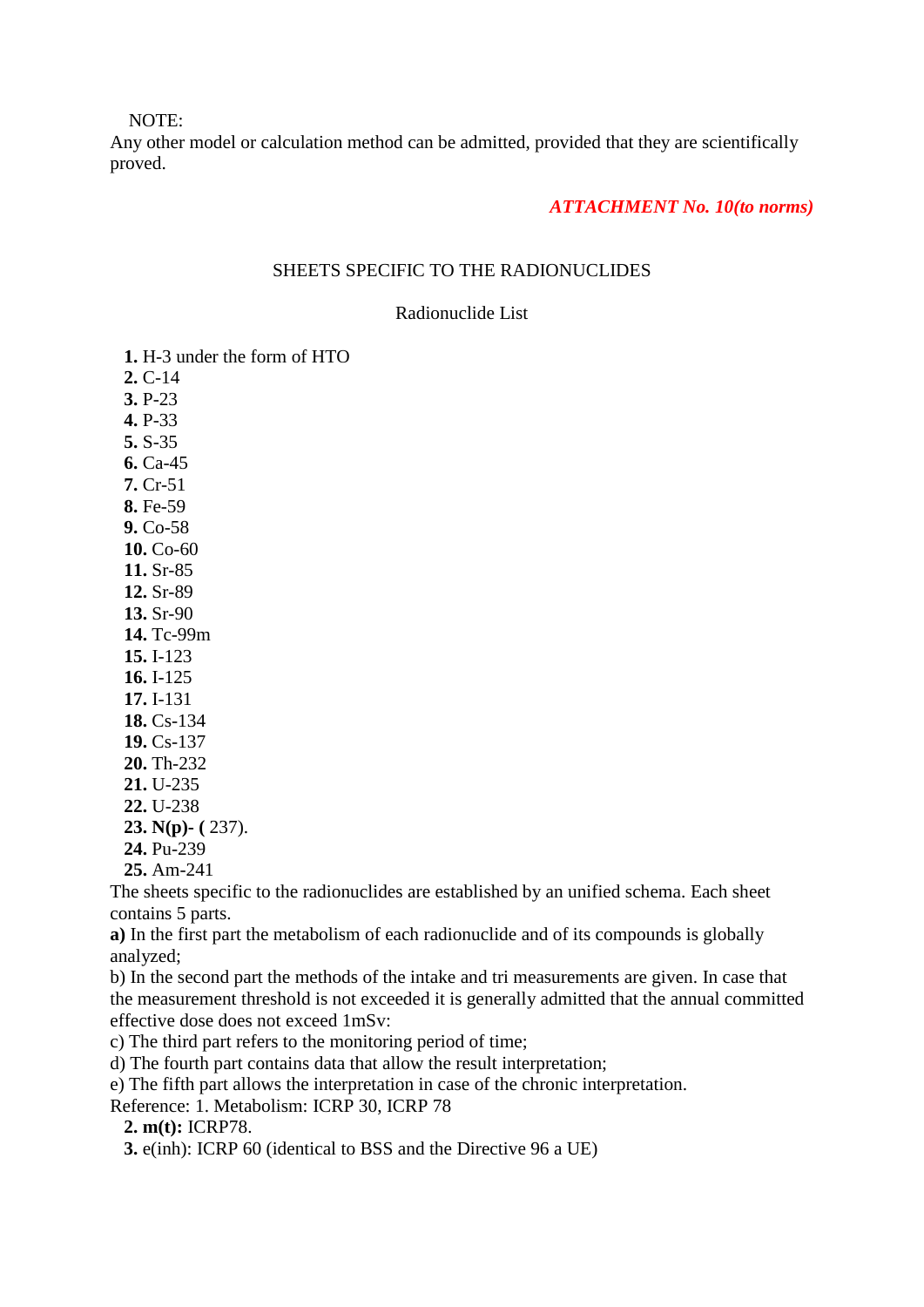NOTE:

Any other model or calculation method can be admitted, provided that they are scientifically proved.

#### *ATTACHMENT No. 10(to norms)*

### SHEETS SPECIFIC TO THE RADIONUCLIDES

#### Radionuclide List

- **1.** H-3 under the form of HTO
- **2.** C-14
- **3.** P-23
- **4.** P-33  **5.** S-35
- **6.** Ca-45
- **7.** Cr-51
- **8.** Fe-59
- **9.** Co-58
- **10.** Co-60
- **11.** Sr-85
- **12.** Sr-89
- **13.** Sr-90
- **14.** Tc-99m
- **15.** I-123
- **16.** I-125
- **17.** I-131
- **18.** Cs-134
- **19.** Cs-137
- **20.** Th-232
- **21.** U-235
- **22.** U-238
- **23. N(p)- (** 237).
- **24.** Pu-239
- **25.** Am-241

The sheets specific to the radionuclides are established by an unified schema. Each sheet contains 5 parts.

**a)** In the first part the metabolism of each radionuclide and of its compounds is globally analyzed;

b) In the second part the methods of the intake and tri measurements are given. In case that the measurement threshold is not exceeded it is generally admitted that the annual committed effective dose does not exceed 1mSv:

c) The third part refers to the monitoring period of time;

d) The fourth part contains data that allow the result interpretation;

e) The fifth part allows the interpretation in case of the chronic interpretation.

Reference: 1. Metabolism: ICRP 30, ICRP 78

 **2. m(t):** ICRP78.

 **3.** e(inh): ICRP 60 (identical to BSS and the Directive 96 a UE)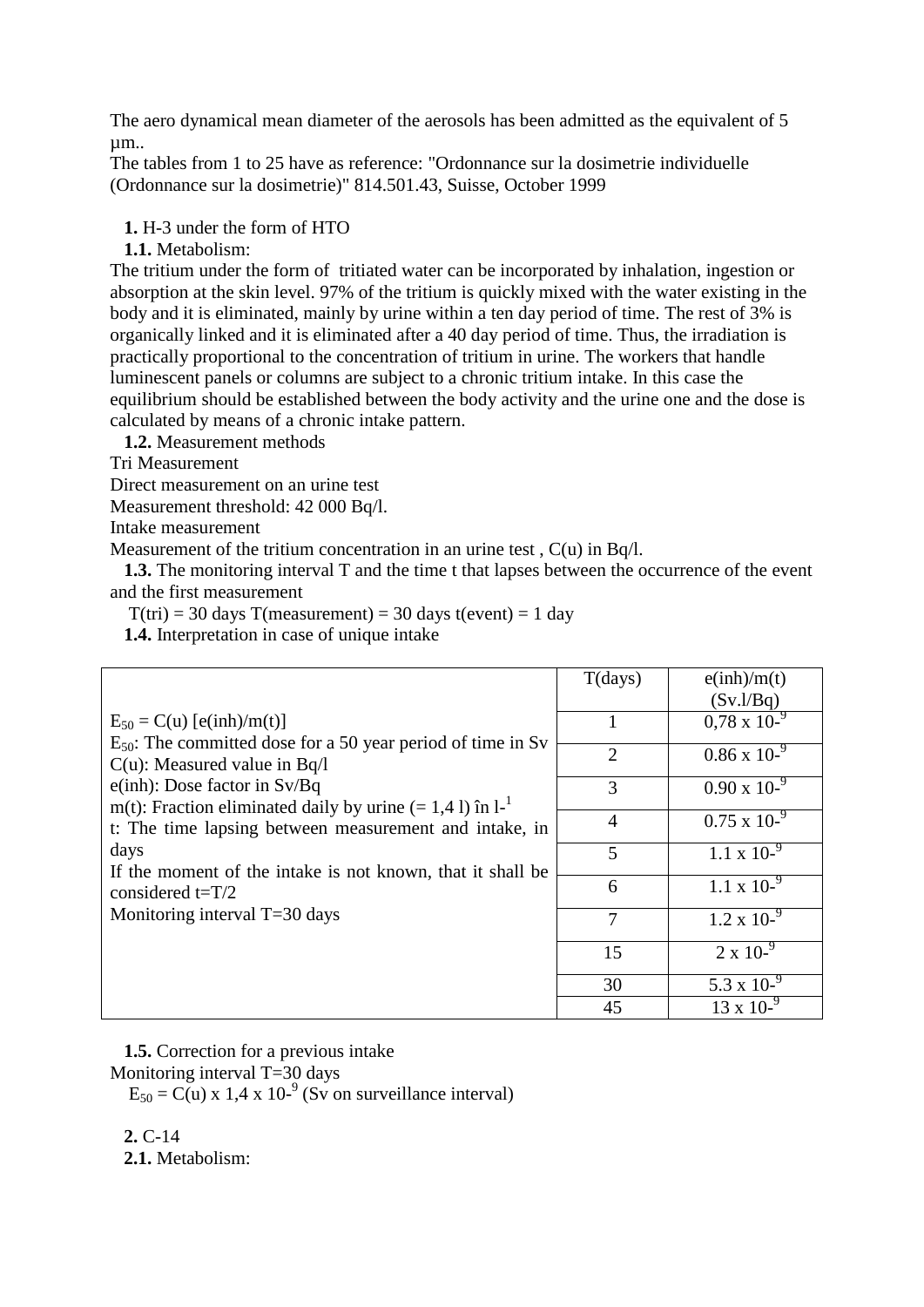The aero dynamical mean diameter of the aerosols has been admitted as the equivalent of 5 µm..

The tables from 1 to 25 have as reference: "Ordonnance sur la dosimetrie individuelle (Ordonnance sur la dosimetrie)" 814.501.43, Suisse, October 1999

 **1.** H-3 under the form of HTO

 **1.1.** Metabolism:

The tritium under the form of tritiated water can be incorporated by inhalation, ingestion or absorption at the skin level. 97% of the tritium is quickly mixed with the water existing in the body and it is eliminated, mainly by urine within a ten day period of time. The rest of 3% is organically linked and it is eliminated after a 40 day period of time. Thus, the irradiation is practically proportional to the concentration of tritium in urine. The workers that handle luminescent panels or columns are subject to a chronic tritium intake. In this case the equilibrium should be established between the body activity and the urine one and the dose is calculated by means of a chronic intake pattern.

 **1.2.** Measurement methods

Tri Measurement

Direct measurement on an urine test

Measurement threshold: 42 000 Bq/l.

Intake measurement

Measurement of the tritium concentration in an urine test,  $C(u)$  in Bq/l.

 **1.3.** The monitoring interval T and the time t that lapses between the occurrence of the event and the first measurement

 $T(tri) = 30 \text{ days } T(measurement) = 30 \text{ days } t(event) = 1 \text{ day}$ 

 **1.4.** Interpretation in case of unique intake

|                                                                                                       | T(days)        | e(inh)/m(t)           |
|-------------------------------------------------------------------------------------------------------|----------------|-----------------------|
|                                                                                                       |                | (Sv.l/Bq)             |
| $E_{50} = C(u)$ [e(inh)/m(t)]                                                                         |                | $0.78 \times 10^{-9}$ |
| $E_{50}$ : The committed dose for a 50 year period of time in Sv<br>$C(u)$ : Measured value in Bq/l   | $\overline{2}$ | $0.86 \times 10^{-9}$ |
| $e(inh)$ : Dose factor in Sv/Bq<br>m(t): Fraction eliminated daily by urine $(= 1, 4, 1)$ în $1^{-1}$ | 3              | $0.90 \times 10^{-9}$ |
| t: The time lapsing between measurement and intake, in                                                | $\overline{4}$ | $0.75 \times 10^{-9}$ |
| days<br>If the moment of the intake is not known, that it shall be                                    | 5              | $1.1 \times 10^{-9}$  |
| considered $t=T/2$                                                                                    | 6              | $1.1 \times 10^{-9}$  |
| Monitoring interval $T=30$ days                                                                       | $\overline{7}$ | $1.2 \times 10^{-9}$  |
|                                                                                                       | 15             | $2 \times 10^{-9}$    |
|                                                                                                       | 30             | 5.3 x $10^{-9}$       |
|                                                                                                       | 45             | $13 \times 10^{-9}$   |

 **1.5.** Correction for a previous intake

Monitoring interval T=30 days

 $E_{50} = C(u) \times 1.4 \times 10^{-9}$  (Sv on surveillance interval)

 **2.** C-14  **2.1.** Metabolism: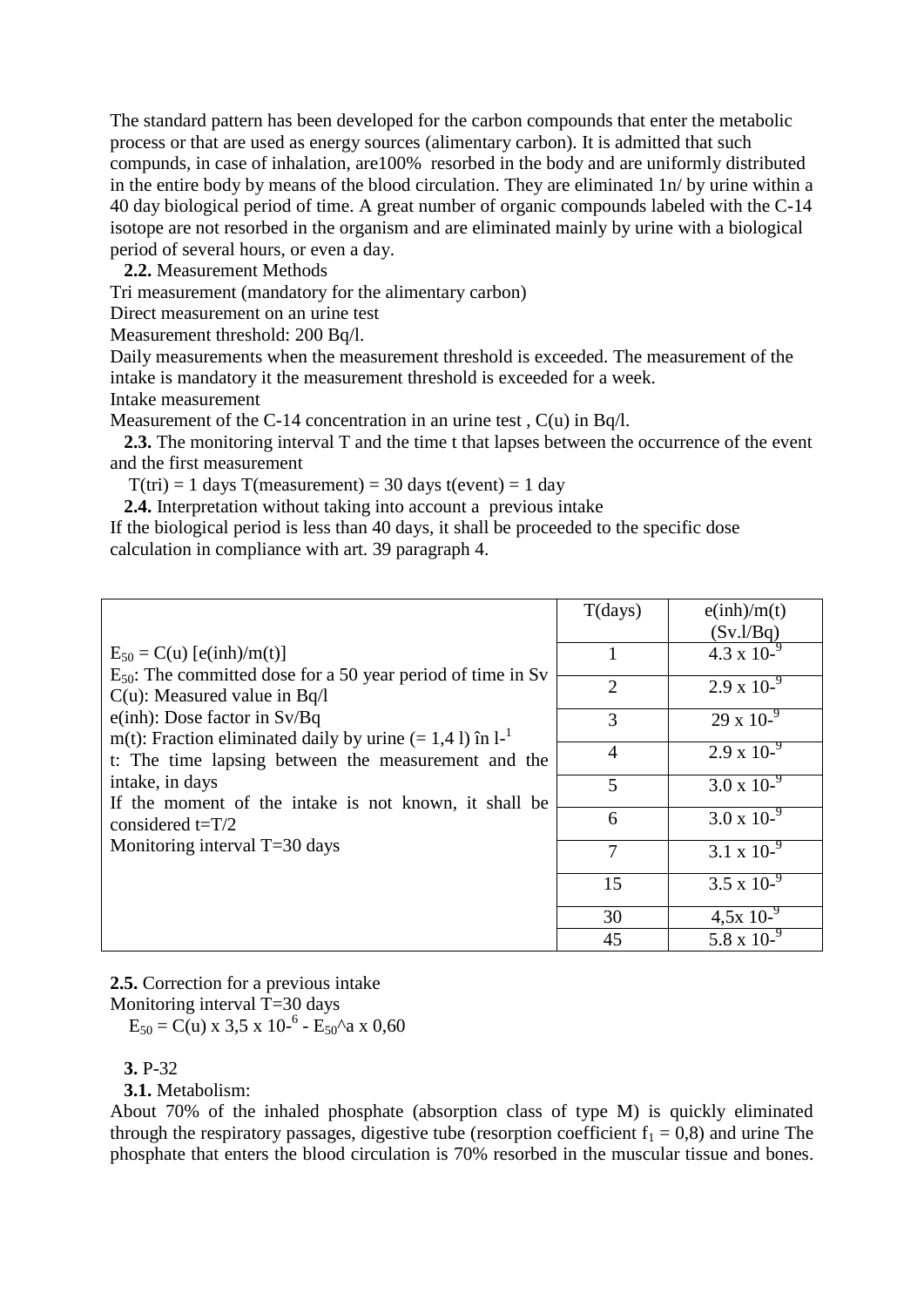The standard pattern has been developed for the carbon compounds that enter the metabolic process or that are used as energy sources (alimentary carbon). It is admitted that such compunds, in case of inhalation, are100% resorbed in the body and are uniformly distributed in the entire body by means of the blood circulation. They are eliminated 1n/ by urine within a 40 day biological period of time. A great number of organic compounds labeled with the C-14 isotope are not resorbed in the organism and are eliminated mainly by urine with a biological period of several hours, or even a day.

 **2.2.** Measurement Methods

Tri measurement (mandatory for the alimentary carbon)

Direct measurement on an urine test

Measurement threshold: 200 Bq/l.

Daily measurements when the measurement threshold is exceeded. The measurement of the intake is mandatory it the measurement threshold is exceeded for a week. Intake measurement

Measurement of the C-14 concentration in an urine test,  $C(u)$  in Bq/l.

 **2.3.** The monitoring interval T and the time t that lapses between the occurrence of the event and the first measurement

 $T(tri) = 1$  days  $T(measurement) = 30$  days  $t(event) = 1$  day

 **2.4.** Interpretation without taking into account a previous intake

If the biological period is less than 40 days, it shall be proceeded to the specific dose calculation in compliance with art. 39 paragraph 4.

|                                                                                                       | T(days)        | e(inh)/m(t)<br>(Sv.l/Bq) |
|-------------------------------------------------------------------------------------------------------|----------------|--------------------------|
| $E_{50} = C(u)$ [e(inh)/m(t)]                                                                         |                | 4.3 x $10^{-9}$          |
| $E_{50}$ : The committed dose for a 50 year period of time in Sv<br>$C(u)$ : Measured value in Bq/l   | $\overline{2}$ | $2.9 \times 10^{-9}$     |
| $e(inh)$ : Dose factor in Sv/Bq<br>m(t): Fraction eliminated daily by urine $(= 1, 4, 1)$ în $1^{-1}$ | 3              | $29 \times 10^{-9}$      |
| t: The time lapsing between the measurement and the                                                   | $\overline{4}$ | $2.9 \times 10^{-9}$     |
| intake, in days<br>If the moment of the intake is not known, it shall be                              | 5              | $3.0 \times 10^{-9}$     |
| considered $t=T/2$                                                                                    | 6              | $3.0 \times 10^{-9}$     |
| Monitoring interval $T=30$ days                                                                       | $\overline{7}$ | 3.1 x $10^{-9}$          |
|                                                                                                       | 15             | $3.5 \times 10^{-9}$     |
|                                                                                                       | 30             | $4,5x10^{-9}$            |
|                                                                                                       | 45             | 5.8 x 10- $9$            |

**2.5.** Correction for a previous intake

Monitoring interval T=30 days

 $E_{50} = C(u) \times 3.5 \times 10^{-6} - E_{50}$ <sup>^</sup>a x 0.60

### **3.** P-32

### **3.1.** Metabolism:

About 70% of the inhaled phosphate (absorption class of type M) is quickly eliminated through the respiratory passages, digestive tube (resorption coefficient  $f_1 = 0.8$ ) and urine The phosphate that enters the blood circulation is 70% resorbed in the muscular tissue and bones.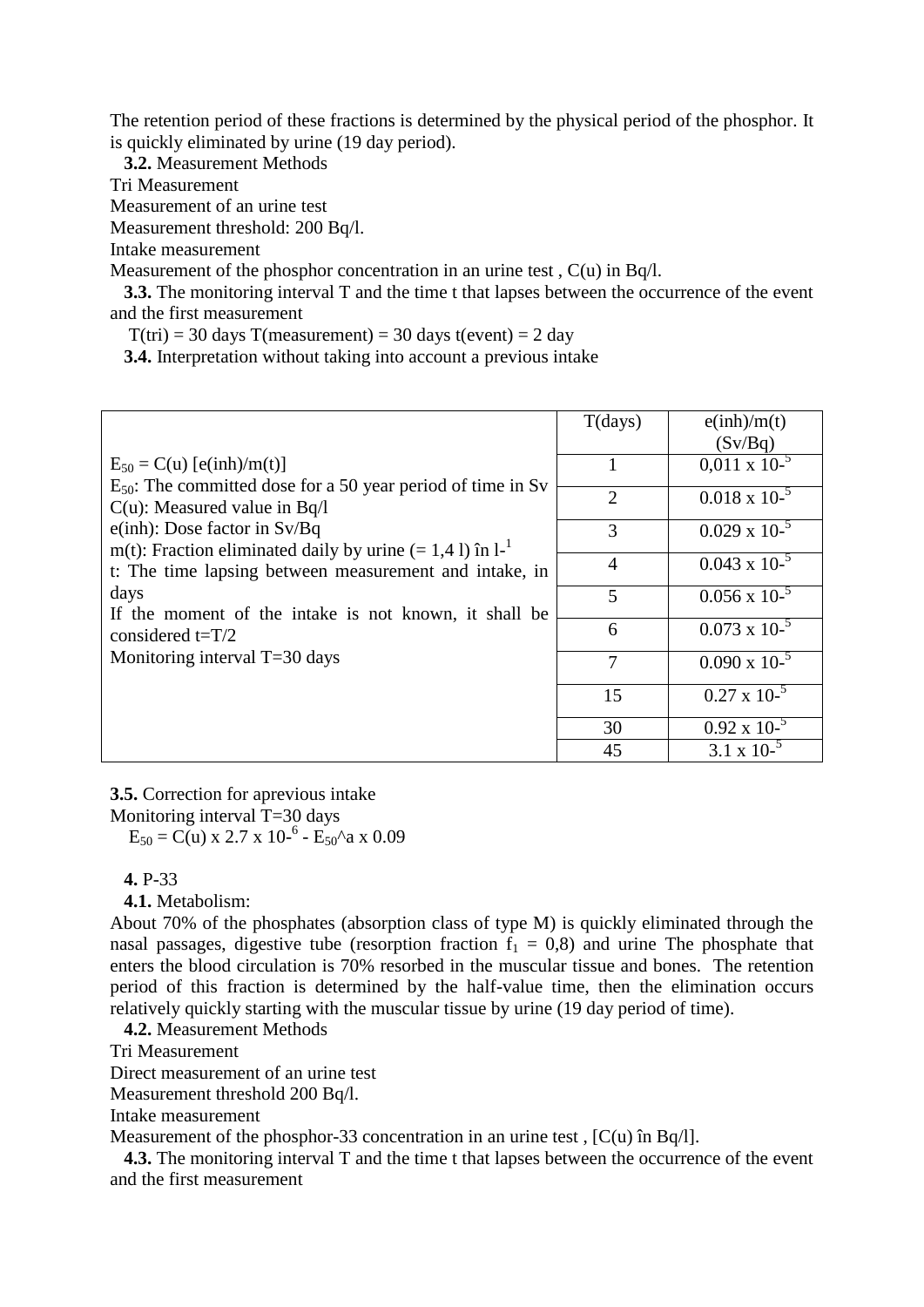The retention period of these fractions is determined by the physical period of the phosphor. It is quickly eliminated by urine (19 day period).

 **3.2.** Measurement Methods

Tri Measurement

Measurement of an urine test

Measurement threshold: 200 Bq/l.

Intake measurement

Measurement of the phosphor concentration in an urine test,  $C(u)$  in Bq/l.

 **3.3.** The monitoring interval T and the time t that lapses between the occurrence of the event and the first measurement

 $T(tri) = 30 \text{ days } T(measurement) = 30 \text{ days } t(event) = 2 \text{ day}$ 

 **3.4.** Interpretation without taking into account a previous intake

|                                                                                                     | T(days)        | e(inh)/m(t)            |
|-----------------------------------------------------------------------------------------------------|----------------|------------------------|
|                                                                                                     |                | (Sv/Bq)                |
| $E_{50} = C(u)$ [e(inh)/m(t)]                                                                       |                | $0.011 \times 10^{-5}$ |
| $E_{50}$ : The committed dose for a 50 year period of time in Sv                                    | $\overline{2}$ | $0.018 \times 10^{-5}$ |
| $C(u)$ : Measured value in Bq/l                                                                     |                |                        |
| $e(inh)$ : Dose factor in Sv/Bq<br>m(t): Fraction eliminated daily by urine $(= 1.4 1)$ în $1^{-1}$ | 3              | $0.029 \times 10^{-5}$ |
| t: The time lapsing between measurement and intake, in                                              | $\overline{4}$ | $0.043 \times 10^{-5}$ |
| days<br>If the moment of the intake is not known, it shall be                                       | 5              | $0.056 \times 10^{-5}$ |
| considered $t=T/2$                                                                                  | 6              | $0.073 \times 10^{-5}$ |
| Monitoring interval T=30 days                                                                       | $\tau$         | $0.090 \times 10^{-5}$ |
|                                                                                                     | 15             | $0.27 \times 10^{-5}$  |
|                                                                                                     | 30             | $0.92 \times 10^{-5}$  |
|                                                                                                     | 45             | 3.1 x 10- $5$          |

**3.5.** Correction for aprevious intake

Monitoring interval T=30 days

 $E_{50} = C(u) \times 2.7 \times 10^{-6} - E_{50}$ ^a x 0.09

 **4.** P-33

 **4.1.** Metabolism:

About 70% of the phosphates (absorption class of type M) is quickly eliminated through the nasal passages, digestive tube (resorption fraction  $f_1 = 0.8$ ) and urine The phosphate that enters the blood circulation is 70% resorbed in the muscular tissue and bones. The retention period of this fraction is determined by the half-value time, then the elimination occurs relatively quickly starting with the muscular tissue by urine (19 day period of time).

 **4.2.** Measurement Methods

Tri Measurement

Direct measurement of an urine test

Measurement threshold 200 Bq/l.

Intake measurement

Measurement of the phosphor-33 concentration in an urine test, [C(u) în Bq/l].

**4.3.** The monitoring interval T and the time t that lapses between the occurrence of the event and the first measurement